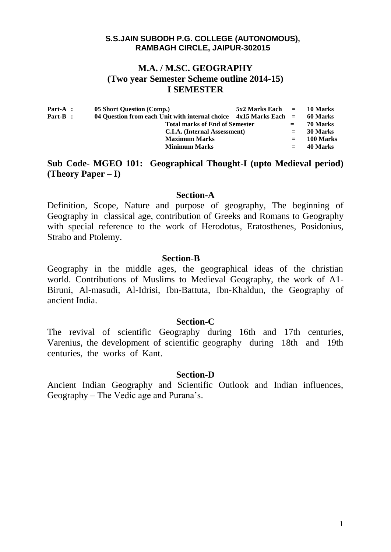## **M.A. / M.SC. GEOGRAPHY (Two year Semester Scheme outline 2014-15) I SEMESTER**

| Part-A : | 05 Short Question (Comp.)                                           | $5x2$ Marks Each $=$ 10 Marks |          |           |
|----------|---------------------------------------------------------------------|-------------------------------|----------|-----------|
| Part-B : | 04 Question from each Unit with internal choice $4x15$ Marks Each = |                               | 60 Marks |           |
|          | <b>Total marks of End of Semester</b>                               |                               | $=$      | 70 Marks  |
|          | C.I.A. (Internal Assessment)                                        |                               | $=$      | 30 Marks  |
|          | <b>Maximum Marks</b>                                                |                               | $=$      | 100 Marks |
|          | <b>Minimum Marks</b>                                                |                               | $=$      | 40 Marks  |
|          |                                                                     |                               |          |           |

**Sub Code- MGEO 101: Geographical Thought-I (upto Medieval period) (Theory Paper – I)** 

#### **Section-A**

Definition, Scope, Nature and purpose of geography, The beginning of Geography in classical age, contribution of Greeks and Romans to Geography with special reference to the work of Herodotus, Eratosthenes, Posidonius, Strabo and Ptolemy.

### **Section-B**

Geography in the middle ages, the geographical ideas of the christian world. Contributions of Muslims to Medieval Geography, the work of A1- Biruni, Al-masudi, Al-Idrisi, Ibn-Battuta, Ibn-Khaldun, the Geography of ancient India.

### **Section-C**

The revival of scientific Geography during 16th and 17th centuries, Varenius, the development of scientific geography during 18th and 19th centuries, the works of Kant.

### **Section-D**

Ancient Indian Geography and Scientific Outlook and Indian influences, Geography – The Vedic age and Purana's.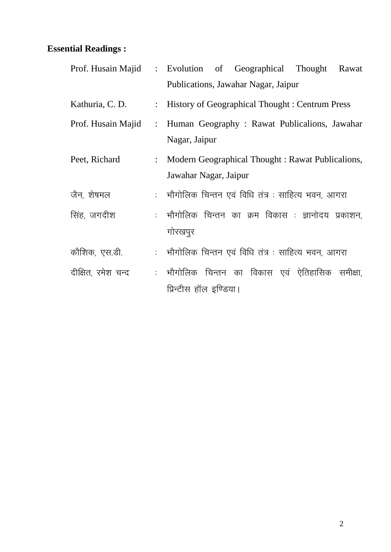|                    |                           | Prof. Husain Majid : Evolution of Geographical Thought<br>Rawat |
|--------------------|---------------------------|-----------------------------------------------------------------|
|                    |                           | Publications, Jawahar Nagar, Jaipur                             |
| Kathuria, C. D.    |                           | : History of Geographical Thought : Centrum Press               |
| Prof. Husain Majid | $\ddot{\cdot}$            | Human Geography: Rawat Publicalions, Jawahar                    |
|                    |                           | Nagar, Jaipur                                                   |
| Peet, Richard      | $\mathbb{Z}^{\mathbb{Z}}$ | Modern Geographical Thought: Rawat Publicalions,                |
|                    |                           | Jawahar Nagar, Jaipur                                           |
| जैन, शेषमल         |                           | :   भौगोलिक चिन्तन एवं विधि तंत्र : साहित्य भवन, आगरा           |
| सिंह, जगदीश        |                           | : भौगोलिक चिन्तन का क्रम विकास : ज्ञानोदय प्रकाशन,              |
|                    |                           | गोरखपुर                                                         |
| कौशिक, एस.डी.      |                           | :   भौगोलिक चिन्तन एवं विधि तंत्र : साहित्य भवन, आगरा           |
| दीक्षित, रमेश चन्द |                           | : भौगोलिक चिन्तन का विकास एवं ऐतिहासिक समीक्षा,                 |
|                    |                           | प्रिन्टीस हॉल इण्डिया।                                          |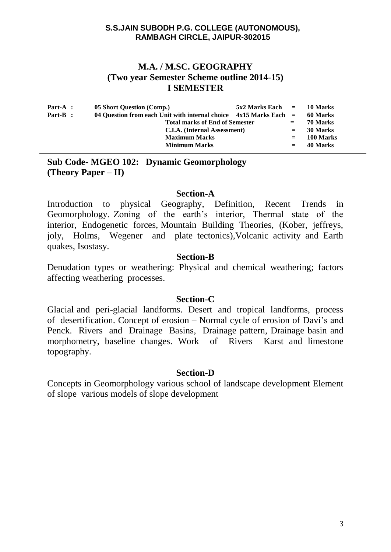# **M.A. / M.SC. GEOGRAPHY (Two year Semester Scheme outline 2014-15) I SEMESTER**

| Part-A : | 05 Short Question (Comp.)                                           | $5x2$ Marks Each $=$ |           | 10 Marks |
|----------|---------------------------------------------------------------------|----------------------|-----------|----------|
| Part-B : | 04 Question from each Unit with internal choice $4x15$ Marks Each = |                      | 60 Marks  |          |
|          | <b>Total marks of End of Semester</b>                               | $=$                  | 70 Marks  |          |
|          | C.I.A. (Internal Assessment)                                        | $=$                  | 30 Marks  |          |
|          | <b>Maximum Marks</b>                                                | $=$                  | 100 Marks |          |
|          | <b>Minimum Marks</b>                                                |                      | $=$       | 40 Marks |
|          |                                                                     |                      |           |          |

# **Sub Code- MGEO 102: Dynamic Geomorphology (Theory Paper – II)**

## **Section-A**

Introduction to physical Geography, Definition, Recent Trends in Geomorphology. Zoning of the earth's interior, Thermal state of the interior, Endogenetic forces, Mountain Building Theories, (Kober, jeffreys, joly, Holms, Wegener and plate tectonics),Volcanic activity and Earth quakes, Isostasy.

## **Section-B**

Denudation types or weathering: Physical and chemical weathering; factors affecting weathering processes.

## **Section-C**

Glacial and peri-glacial landforms. Desert and tropical landforms, process of desertification. Concept of erosion – Normal cycle of erosion of Davi's and Penck. Rivers and Drainage Basins, Drainage pattern, Drainage basin and morphometry, baseline changes. Work of Rivers Karst and limestone topography.

## **Section-D**

Concepts in Geomorphology various school of landscape development Element of slope various models of slope development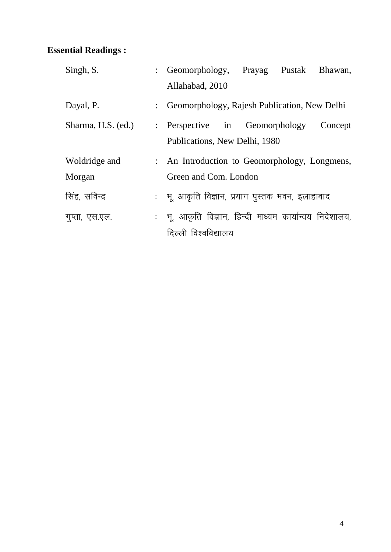| Singh, S.          |                | : Geomorphology, Prayag Pustak Bhawan,                  |  |         |
|--------------------|----------------|---------------------------------------------------------|--|---------|
|                    |                | Allahabad, 2010                                         |  |         |
| Dayal, P.          |                | : Geomorphology, Rajesh Publication, New Delhi          |  |         |
| Sharma, H.S. (ed.) | $\ddot{\cdot}$ | Perspective in Geomorphology                            |  | Concept |
|                    |                | Publications, New Delhi, 1980                           |  |         |
| Woldridge and      |                | : An Introduction to Geomorphology, Longmens,           |  |         |
| Morgan             |                | Green and Com. London                                   |  |         |
| सिंह, सविन्द्र     |                | :   भू, आकृति विज्ञान, प्रयाग पुस्तक भवन, इलाहाबाद      |  |         |
| गुप्ता, एस.एल.     |                | : भू, आकृति विज्ञान, हिन्दी माध्यम कार्यान्वय निदेशालय, |  |         |
|                    |                | दिल्ली विश्वविद्यालय                                    |  |         |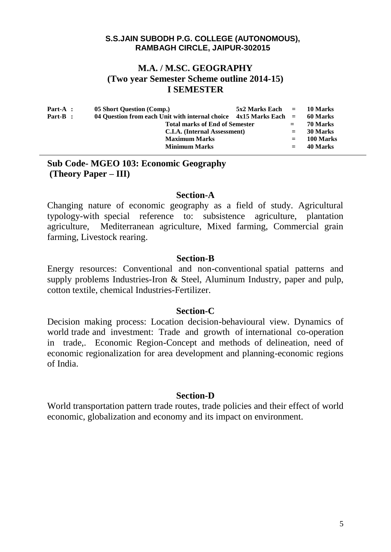# **M.A. / M.SC. GEOGRAPHY (Two year Semester Scheme outline 2014-15) I SEMESTER**

| $Part-A$ : | 05 Short Question (Comp.)                                             | $5x2$ Marks Each $=$ 10 Marks |          |           |
|------------|-----------------------------------------------------------------------|-------------------------------|----------|-----------|
| Part-B :   | 04 Question from each Unit with internal choice $4x15$ Marks Each $=$ |                               | 60 Marks |           |
|            | <b>Total marks of End of Semester</b>                                 |                               | $=$ $-$  | 70 Marks  |
|            | C.I.A. (Internal Assessment)                                          | $=$                           | 30 Marks |           |
|            | <b>Maximum Marks</b>                                                  |                               | $=$      | 100 Marks |
|            | <b>Minimum Marks</b>                                                  |                               | $=$      | 40 Marks  |
|            |                                                                       |                               |          |           |

## **Sub Code- MGEO 103: Economic Geography (Theory Paper – III)**

## **Section-A**

Changing nature of economic geography as a field of study. Agricultural typology-with special reference to: subsistence agriculture, plantation agriculture, Mediterranean agriculture, Mixed farming, Commercial grain farming, Livestock rearing.

### **Section-B**

Energy resources: Conventional and non-conventional spatial patterns and supply problems Industries-Iron & Steel, Aluminum Industry, paper and pulp, cotton textile, chemical Industries-Fertilizer.

## **Section-C**

Decision making process: Location decision-behavioural view. Dynamics of world trade and investment: Trade and growth of international co-operation in trade,. Economic Region-Concept and methods of delineation, need of economic regionalization for area development and planning-economic regions of India.

## **Section-D**

World transportation pattern trade routes, trade policies and their effect of world economic, globalization and economy and its impact on environment.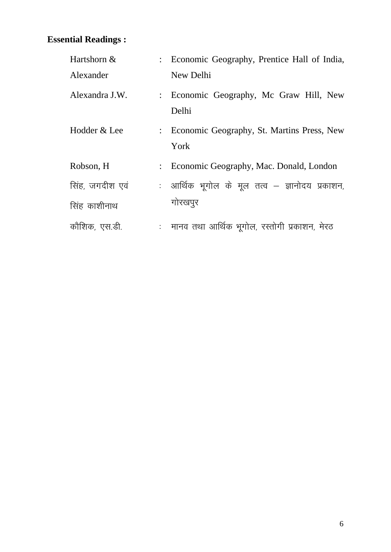| Hartshorn &     |                | : Economic Geography, Prentice Hall of India,        |
|-----------------|----------------|------------------------------------------------------|
| Alexander       |                | New Delhi                                            |
| Alexandra J.W.  | $\ddot{\cdot}$ | Economic Geography, Mc Graw Hill, New<br>Delhi       |
| Hodder & Lee    |                | : Economic Geography, St. Martins Press, New<br>York |
| Robson, H       | $\ddot{\cdot}$ | Economic Geography, Mac. Donald, London              |
| सिंह, जगदीश एवं |                | : आर्थिक भूगोल के मूल तत्व – ज्ञानोदय प्रकाशन,       |
| सिंह काशीनाथ    |                | गोरखपुर                                              |
| कौशिक, एस.डी.   | t,             | मानव तथा आर्थिक भूगोल, रस्तोगी प्रकाशन, मेरठ         |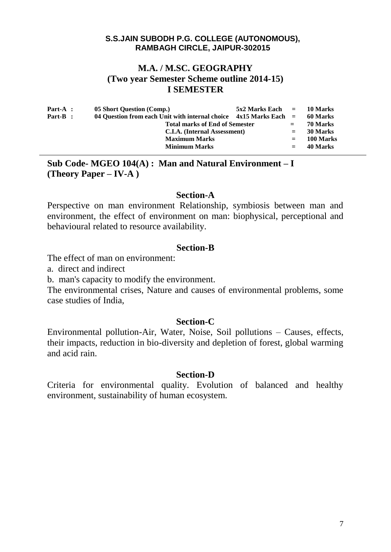# **M.A. / M.SC. GEOGRAPHY (Two year Semester Scheme outline 2014-15) I SEMESTER**

| Part-A : | 05 Short Question (Comp.)                                             | $5x2$ Marks Each $=$ 10 Marks |            |           |
|----------|-----------------------------------------------------------------------|-------------------------------|------------|-----------|
| Part-B : | 04 Ouestion from each Unit with internal choice $4x15$ Marks Each $=$ |                               | - 60 Marks |           |
|          | <b>Total marks of End of Semester</b>                                 |                               | $=$        | 70 Marks  |
|          | C.I.A. (Internal Assessment)                                          |                               | $=$        | 30 Marks  |
|          | <b>Maximum Marks</b>                                                  |                               | $=$        | 100 Marks |
|          | <b>Minimum Marks</b>                                                  |                               | $=$        | 40 Marks  |
|          |                                                                       |                               |            |           |

**Sub Code- MGEO 104(A) : Man and Natural Environment – I (Theory Paper – IV-A )**

## **Section-A**

Perspective on man environment Relationship, symbiosis between man and environment, the effect of environment on man: biophysical, perceptional and behavioural related to resource availability.

## **Section-B**

The effect of man on environment:

a. direct and indirect

b. man's capacity to modify the environment.

The environmental crises, Nature and causes of environmental problems, some case studies of India,

## **Section-C**

Environmental pollution-Air, Water, Noise, Soil pollutions – Causes, effects, their impacts, reduction in bio-diversity and depletion of forest, global warming and acid rain.

### **Section-D**

Criteria for environmental quality. Evolution of balanced and healthy environment, sustainability of human ecosystem.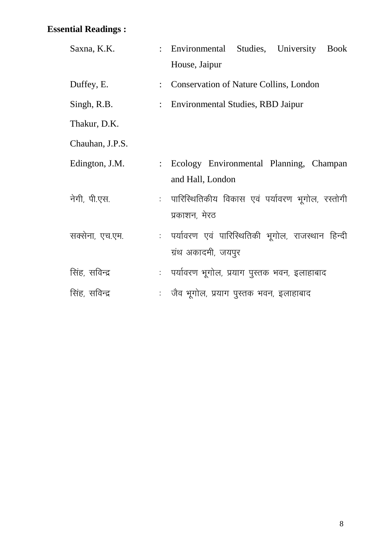| Saxna, K.K.     |                           | : Environmental Studies, University Book           |
|-----------------|---------------------------|----------------------------------------------------|
|                 |                           | House, Jaipur                                      |
| Duffey, E.      | $\ddot{\cdot}$            | <b>Conservation of Nature Collins, London</b>      |
| Singh, R.B.     | $\mathbb{R}^{\mathbb{Z}}$ | <b>Environmental Studies, RBD Jaipur</b>           |
| Thakur, D.K.    |                           |                                                    |
| Chauhan, J.P.S. |                           |                                                    |
| Edington, J.M.  |                           | : Ecology Environmental Planning, Champan          |
|                 |                           | and Hall, London                                   |
| नेगी, पी.एस.    |                           | : पारिस्थितिकीय विकास एवं पर्यावरण भूगोल, रस्तोगी  |
|                 |                           | प्रकाशन, मेरठ                                      |
| सक्सेना, एच.एम. |                           | : पर्यावरण एवं पारिस्थितिकी भूगोल, राजस्थान हिन्दी |
|                 |                           | ग्रंथ अकादमी, जयपुर                                |
| सिंह, सविन्द्र  |                           | : पर्यावरण भूगोल, प्रयाग पुस्तक भवन, इलाहाबाद      |
| सिंह, सविन्द्र  |                           | : जैव भूगोल, प्रयाग पुस्तक भवन, इलाहाबाद           |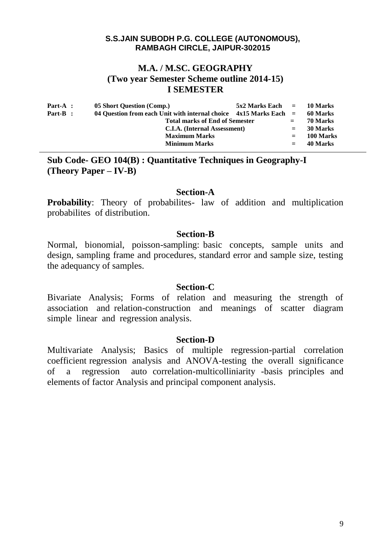# **M.A. / M.SC. GEOGRAPHY (Two year Semester Scheme outline 2014-15) I SEMESTER**

| $Part-A$ : | 05 Short Question (Comp.)                                             | $5x2$ Marks Each $=$ 10 Marks |          |           |
|------------|-----------------------------------------------------------------------|-------------------------------|----------|-----------|
| Part-B :   | 04 Question from each Unit with internal choice $4x15$ Marks Each $=$ |                               | 60 Marks |           |
|            | <b>Total marks of End of Semester</b>                                 |                               | $=$      | 70 Marks  |
|            | C.I.A. (Internal Assessment)                                          | $=$                           | 30 Marks |           |
|            | <b>Maximum Marks</b>                                                  |                               |          | 100 Marks |
|            | <b>Minimum Marks</b>                                                  |                               | $=$      | 40 Marks  |
|            |                                                                       |                               |          |           |

**Sub Code- GEO 104(B) : Quantitative Techniques in Geography-I (Theory Paper – IV-B)**

### **Section-A**

**Probability:** Theory of probabilites- law of addition and multiplication probabilites of distribution.

## **Section-B**

Normal, bionomial, poisson-sampling: basic concepts, sample units and design, sampling frame and procedures, standard error and sample size, testing the adequancy of samples.

### **Section-C**

Bivariate Analysis; Forms of relation and measuring the strength of association and relation-construction and meanings of scatter diagram simple linear and regression analysis.

### **Section-D**

Multivariate Analysis; Basics of multiple regression-partial correlation coefficient regression analysis and ANOVA-testing the overall significance of a regression auto correlation-multicolliniarity -basis principles and elements of factor Analysis and principal component analysis.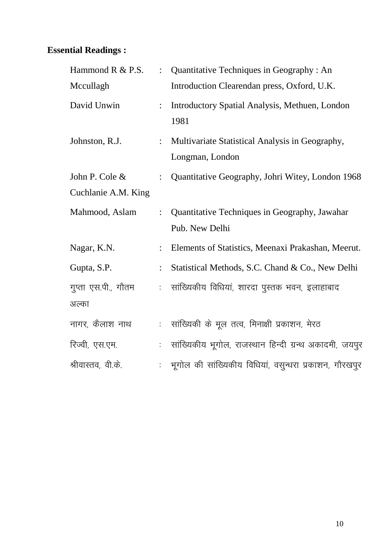| Hammond R & P.S.    | $\ddot{\cdot}$              | Quantitative Techniques in Geography : An                          |
|---------------------|-----------------------------|--------------------------------------------------------------------|
| Mccullagh           |                             | Introduction Clearendan press, Oxford, U.K.                        |
| David Unwin         |                             | Introductory Spatial Analysis, Methuen, London<br>1981             |
| Johnston, R.J.      | $\ddot{\cdot}$              | Multivariate Statistical Analysis in Geography,<br>Longman, London |
| John P. Cole &      |                             | Quantitative Geography, Johri Witey, London 1968                   |
| Cuchlanie A.M. King |                             |                                                                    |
| Mahmood, Aslam      | $\ddot{\cdot}$              | Quantitative Techniques in Geography, Jawahar<br>Pub. New Delhi    |
| Nagar, K.N.         |                             | Elements of Statistics, Meenaxi Prakashan, Meerut.                 |
| Gupta, S.P.         | $\ddot{\cdot}$              | Statistical Methods, S.C. Chand & Co., New Delhi                   |
| गुप्ता एस.पी., गौतम | t.                          | सांख्यिकीय विधियां, शारदा पुस्तक भवन, इलाहाबाद                     |
| अल्का               |                             |                                                                    |
| नागर, कैलाश नाथ     | $\mathcal{L}_{\mathcal{A}}$ | सांख्यिकी के मूल तत्व, मिनाक्षी प्रकाशन, मेरठ                      |
| रिज्वी, एस.एम.      | t.                          | सांख्यिकीय भूगोल, राजस्थान हिन्दी ग्रन्थ अकादमी, जयपुर             |
| श्रीवास्तव, वी.के.  |                             | भूगोल की सांख्यिकीय विधियां, वसुन्धरा प्रकाशन, गौरखपूर             |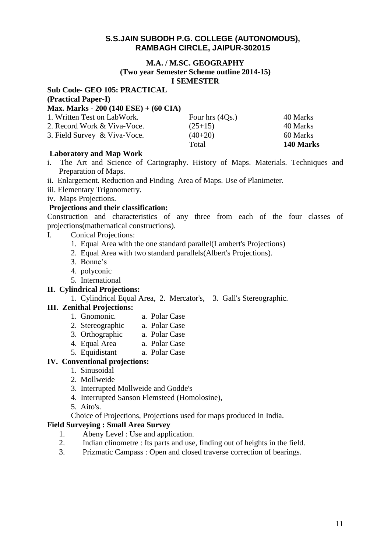#### **M.A. / M.SC. GEOGRAPHY (Two year Semester Scheme outline 2014-15) I SEMESTER**

#### **Sub Code- GEO 105: PRACTICAL (Practical Paper-I) Max. Marks - 200 (140 ESE) + (60 CIA)** 1. Written Test on LabWork. Four hrs (4Qs.) 40 Marks 2. Record Work & Viva-Voce. (25+15) 40 Marks 3. Field Survey & Viva-Voce.  $(40+20)$  60 Marks Total **140 Marks**

### **Laboratory and Map Work**

- i. The Art and Science of Cartography. History of Maps. Materials. Techniques and Preparation of Maps.
- ii. Enlargement. Reduction and Finding Area of Maps. Use of Planimeter.
- iii. Elementary Trigonometry.
- iv. Maps Projections.

#### **Projections and their classification:**

Construction and characteristics of any three from each of the four classes of projections(mathematical constructions).

- I. Conical Projections:
	- 1. Equal Area with the one standard parallel(Lambert's Projections)
	- 2. Equal Area with two standard parallels(Albert's Projections).
	- 3. Bonne's
	- 4. polyconic
	- 5. International

#### **II. Cylindrical Projections:**

#### 1. Cylindrical Equal Area, 2. Mercator's, 3. Gall's Stereographic.

### **III. Zenithal Projections:**

- 1. Gnomonic. a. Polar Case
- 2. Stereographic a. Polar Case
- 3. Orthographic a. Polar Case
- 4. Equal Area a. Polar Case
- 5. Equidistant a. Polar Case

#### **IV. Conventional projections:**

- 1. Sinusoidal
- 2. Mollweide
- 3. Interrupted Mollweide and Godde's
- 4. Interrupted Sanson Flemsteed (Homolosine),
- 5. Aito's.
- Choice of Projections, Projections used for maps produced in India.

## **Field Surveying : Small Area Survey**

- 1. Abeny Level : Use and application.
- 2. Indian clinometre : Its parts and use, finding out of heights in the field.
- 3. Prizmatic Campass : Open and closed traverse correction of bearings.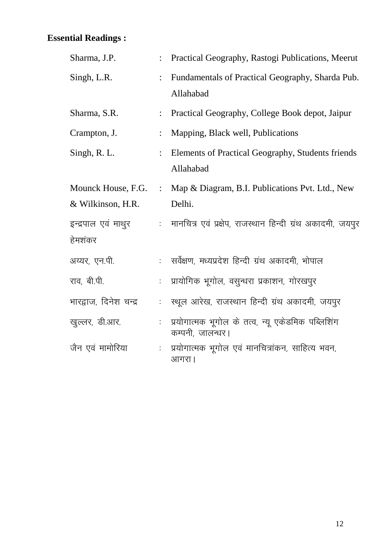| Sharma, J.P.                            |                             | Practical Geography, Rastogi Publications, Meerut                     |
|-----------------------------------------|-----------------------------|-----------------------------------------------------------------------|
| Singh, L.R.                             | $\ddot{\cdot}$              | Fundamentals of Practical Geography, Sharda Pub.<br>Allahabad         |
| Sharma, S.R.                            |                             | Practical Geography, College Book depot, Jaipur                       |
| Crampton, J.                            | $\ddot{\cdot}$              | Mapping, Black well, Publications                                     |
| Singh, R. L.                            |                             | Elements of Practical Geography, Students friends<br>Allahabad        |
| Mounck House, F.G.<br>& Wilkinson, H.R. | $\ddot{\cdot}$              | Map & Diagram, B.I. Publications Pvt. Ltd., New<br>Delhi.             |
| इन्द्रपाल एवं माथुर<br>हेमशंकर          | $\mathcal{L}^{\mathcal{L}}$ | मानचित्र एवं प्रक्षेप, राजस्थान हिन्दी ग्रंथ अकादमी, जयपुर            |
| अय्यर, एन.पी.                           | $\mathcal{L}_{\mathcal{A}}$ | सर्वेक्षण, मध्यप्रदेश हिन्दी ग्रंथ अकादमी, भोपाल                      |
| राव, बी.पी.                             |                             | प्रायोगिक भूगोल, वसुन्धरा प्रकाशन, गोरखपुर                            |
| भारद्वाज, दिनेश चन्द्र                  |                             | स्थूल आरेख, राजस्थान हिन्दी ग्रंथ अकादमी, जयपुर                       |
| खुल्लर, डी.आर.                          |                             | प्रयोगात्मक भूगोल के तत्व, न्यू एकेडमिक पब्लिशिंग<br>कम्पनी, जालन्धर। |
| जैन एवं मामोरिया                        |                             | प्रयोगात्मक भूगोल एवं मानचित्रांकन, साहित्य भवन,<br>आगरा              |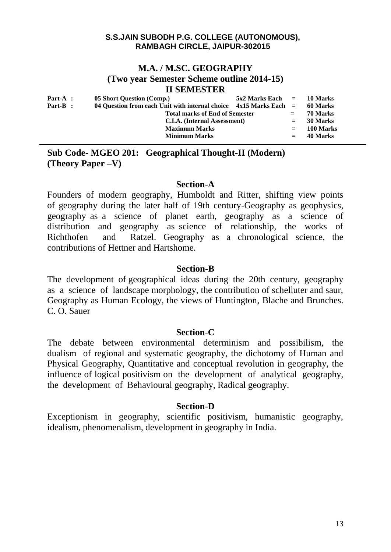## **M.A. / M.SC. GEOGRAPHY (Two year Semester Scheme outline 2014-15) II SEMESTER**

| $Part-A$ : | 05 Short Question (Comp.)                                             | $5x2$ Marks Each $=$ 10 Marks |         |           |
|------------|-----------------------------------------------------------------------|-------------------------------|---------|-----------|
| Part-B :   | 04 Ouestion from each Unit with internal choice $4x15$ Marks Each $=$ |                               |         | 60 Marks  |
|            | <b>Total marks of End of Semester</b>                                 |                               | $=$     | 70 Marks  |
|            | C.I.A. (Internal Assessment)                                          |                               | $=$     | 30 Marks  |
|            | <b>Maximum Marks</b>                                                  |                               | $=$     | 100 Marks |
|            | <b>Minimum Marks</b>                                                  |                               | $=$ $-$ | 40 Marks  |

# **Sub Code- MGEO 201: Geographical Thought-II (Modern) (Theory Paper –V)**

## **Section-A**

Founders of modern geography, Humboldt and Ritter, shifting view points of geography during the later half of 19th century-Geography as geophysics, geography as a science of planet earth, geography as a science of distribution and geography as science of relationship, the works of Richthofen and Ratzel. Geography as a chronological science, the contributions of Hettner and Hartshome.

# **Section-B**

The development of geographical ideas during the 20th century, geography as a science of landscape morphology, the contribution of schelluter and saur, Geography as Human Ecology, the views of Huntington, Blache and Brunches. C. O. Sauer

# **Section-C**

The debate between environmental determinism and possibilism, the dualism of regional and systematic geography, the dichotomy of Human and Physical Geography, Quantitative and conceptual revolution in geography, the influence of logical positivism on the development of analytical geography, the development of Behavioural geography, Radical geography.

# **Section-D**

Exceptionism in geography, scientific positivism, humanistic geography, idealism, phenomenalism, development in geography in India.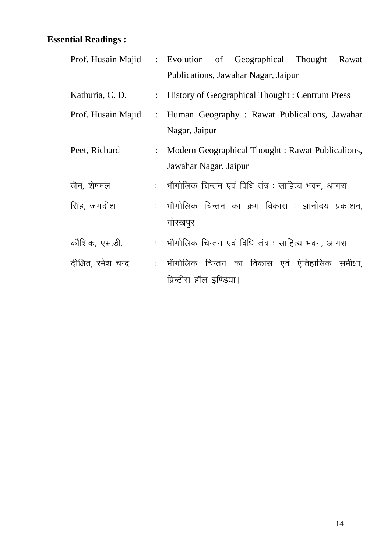|                    |                | Prof. Husain Majid : Evolution of Geographical Thought<br>Rawat |  |  |  |  |
|--------------------|----------------|-----------------------------------------------------------------|--|--|--|--|
|                    |                | Publications, Jawahar Nagar, Jaipur                             |  |  |  |  |
| Kathuria, C. D.    |                | : History of Geographical Thought : Centrum Press               |  |  |  |  |
| Prof. Husain Majid | $\ddot{\cdot}$ | Human Geography: Rawat Publicalions, Jawahar                    |  |  |  |  |
|                    |                | Nagar, Jaipur                                                   |  |  |  |  |
| Peet, Richard      | $\ddot{\cdot}$ | Modern Geographical Thought: Rawat Publicalions,                |  |  |  |  |
|                    |                | Jawahar Nagar, Jaipur                                           |  |  |  |  |
| जैन, शेषमल         |                | :   भौगोलिक चिन्तन एवं विधि तंत्र : साहित्य भवन, आगरा           |  |  |  |  |
| सिंह, जगदीश        |                | : भौगोलिक चिन्तन का क्रम विकास : ज्ञानोदय प्रकाशन,              |  |  |  |  |
|                    |                | गोरखपुर                                                         |  |  |  |  |
| कौशिक, एस.डी.      |                | : भौगोलिक चिन्तन एवं विधि तंत्र : साहित्य भवन, आगरा             |  |  |  |  |
| दीक्षित, रमेश चन्द |                | : भौगोलिक चिन्तन का विकास एवं ऐतिहासिक समीक्षा,                 |  |  |  |  |
|                    |                | प्रिन्टीस हॉल इण्डिया।                                          |  |  |  |  |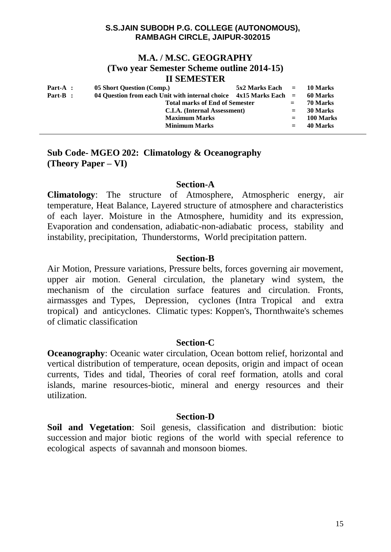## **M.A. / M.SC. GEOGRAPHY (Two year Semester Scheme outline 2014-15) II SEMESTER**

| Part-A : | 05 Short Question (Comp.)                                           | $5x2$ Marks Each $=$ 10 Marks |          |           |
|----------|---------------------------------------------------------------------|-------------------------------|----------|-----------|
| Part-B : | 04 Question from each Unit with internal choice $4x15$ Marks Each = |                               | 60 Marks |           |
|          | <b>Total marks of End of Semester</b>                               | $=$                           | 70 Marks |           |
|          | C.I.A. (Internal Assessment)                                        | $=$                           | 30 Marks |           |
|          | <b>Maximum Marks</b>                                                |                               | $=$      | 100 Marks |
|          | <b>Minimum Marks</b>                                                |                               | $=$      | 40 Marks  |

# **Sub Code- MGEO 202: Climatology & Oceanography (Theory Paper – VI)**

### **Section-A**

**Climatology**: The structure of Atmosphere, Atmospheric energy, air temperature, Heat Balance, Layered structure of atmosphere and characteristics of each layer. Moisture in the Atmosphere, humidity and its expression, Evaporation and condensation, adiabatic-non-adiabatic process, stability and instability, precipitation, Thunderstorms, World precipitation pattern.

## **Section-B**

Air Motion, Pressure variations, Pressure belts, forces governing air movement, upper air motion. General circulation, the planetary wind system, the mechanism of the circulation surface features and circulation. Fronts, airmassges and Types, Depression, cyclones (Intra Tropical and extra tropical) and anticyclones. Climatic types: Koppen's, Thornthwaite's schemes of climatic classification

## **Section-C**

**Oceanography**: Oceanic water circulation, Ocean bottom relief, horizontal and vertical distribution of temperature, ocean deposits, origin and impact of ocean currents, Tides and tidal, Theories of coral reef formation, atolls and coral islands, marine resources-biotic, mineral and energy resources and their utilization.

## **Section-D**

**Soil and Vegetation**: Soil genesis, classification and distribution: biotic succession and major biotic regions of the world with special reference to ecological aspects of savannah and monsoon biomes.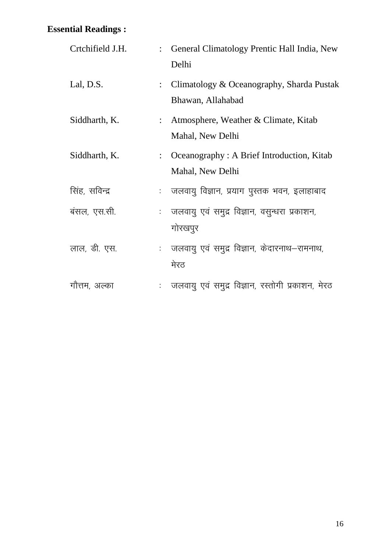| Crtchifield J.H. |                | : General Climatology Prentic Hall India, New<br>Delhi         |  |  |
|------------------|----------------|----------------------------------------------------------------|--|--|
| Lal, D.S.        | $\ddot{\cdot}$ | Climatology & Oceanography, Sharda Pustak<br>Bhawan, Allahabad |  |  |
| Siddharth, K.    |                | Atmosphere, Weather & Climate, Kitab<br>Mahal, New Delhi       |  |  |
| Siddharth, K.    |                | Oceanography : A Brief Introduction, Kitab<br>Mahal, New Delhi |  |  |
| सिंह, सविन्द्र   |                | जलवायु विज्ञान, प्रयाग पुस्तक भवन, इलाहाबाद                    |  |  |
| बंसल, एस.सी.     |                | : जलवायु एवं समुद्र विज्ञान, वसुन्धरा प्रकाशन,<br>गोरखपुर      |  |  |
| लाल, डी. एस.     |                | : जलवायु एवं समुद्र विज्ञान, केदारनाथ–रामनाथ,<br>मेरठ          |  |  |
| गौत्तम, अल्का    |                | जलवायु एवं समुद्र विज्ञान, रस्तोगी प्रकाशन, मेरठ               |  |  |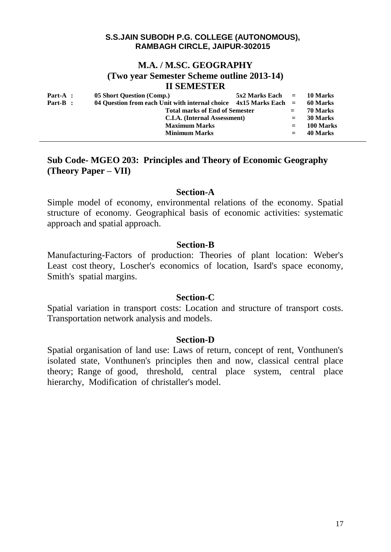## **M.A. / M.SC. GEOGRAPHY**

**(Two year Semester Scheme outline 2013-14)**

## **II SEMESTER**

| $Part-A$ : | 05 Short Question (Comp.)                                           | $5x2$ Marks Each $=$ |          | 10 Marks  |
|------------|---------------------------------------------------------------------|----------------------|----------|-----------|
| $Part-B$ : | 04 Question from each Unit with internal choice $4x15$ Marks Each = |                      | 60 Marks |           |
|            | <b>Total marks of End of Semester</b>                               | $=$                  | 70 Marks |           |
|            | C.I.A. (Internal Assessment)                                        |                      | $=$      | 30 Marks  |
|            | <b>Maximum Marks</b>                                                |                      | $=$      | 100 Marks |
|            | <b>Minimum Marks</b>                                                |                      | $=$      | 40 Marks  |

# **Sub Code- MGEO 203: Principles and Theory of Economic Geography (Theory Paper – VII)**

### **Section-A**

Simple model of economy, environmental relations of the economy. Spatial structure of economy. Geographical basis of economic activities: systematic approach and spatial approach.

## **Section-B**

Manufacturing-Factors of production: Theories of plant location: Weber's Least cost theory, Loscher's economics of location, Isard's space economy, Smith's spatial margins.

### **Section-C**

Spatial variation in transport costs: Location and structure of transport costs. Transportation network analysis and models.

### **Section-D**

Spatial organisation of land use: Laws of return, concept of rent, Vonthunen's isolated state, Vonthunen's principles then and now, classical central place theory; Range of good, threshold, central place system, central place hierarchy, Modification of christaller's model.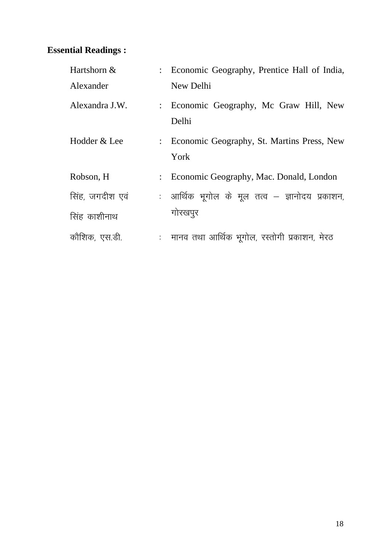| Hartshorn &     | : Economic Geography, Prentice Hall of India,        |
|-----------------|------------------------------------------------------|
| Alexander       | New Delhi                                            |
| Alexandra J.W.  | : Economic Geography, Mc Graw Hill, New<br>Delhi     |
| Hodder & Lee    | : Economic Geography, St. Martins Press, New<br>York |
| Robson, H       | Economic Geography, Mac. Donald, London              |
| सिंह, जगदीश एवं | : आर्थिक भूगोल के मूल तत्व – ज्ञानोदय प्रकाशन,       |
| सिंह काशीनाथ    | गोरखपुर                                              |
| कौशिक, एस.डी.   | : मानव तथा आर्थिक भूगोल, रस्तोगी प्रकाशन, मेरठ       |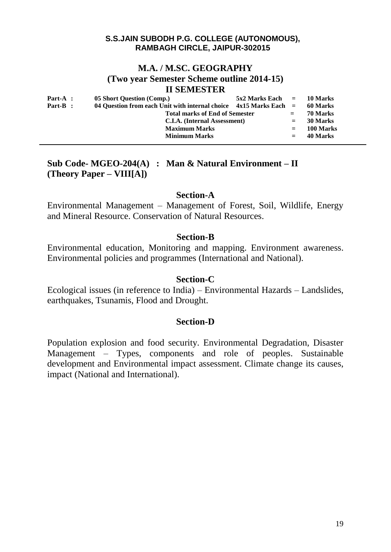## **M.A. / M.SC. GEOGRAPHY (Two year Semester Scheme outline 2014-15) II SEMESTER**

| Part-A : | 05 Short Question (Comp.)                                           | $5x2$ Marks Each $=$ 10 Marks |          |           |
|----------|---------------------------------------------------------------------|-------------------------------|----------|-----------|
| Part-B : | 04 Question from each Unit with internal choice $4x15$ Marks Each = |                               | 60 Marks |           |
|          | <b>Total marks of End of Semester</b>                               | $=$                           | 70 Marks |           |
|          | C.I.A. (Internal Assessment)                                        |                               | $=$      | 30 Marks  |
|          | <b>Maximum Marks</b>                                                |                               | $=$      | 100 Marks |
|          | <b>Minimum Marks</b>                                                |                               | $=$      | 40 Marks  |

# **Sub Code- MGEO-204(A) : Man & Natural Environment – II (Theory Paper – VIII[A])**

## **Section-A**

Environmental Management – Management of Forest, Soil, Wildlife, Energy and Mineral Resource. Conservation of Natural Resources.

## **Section-B**

Environmental education, Monitoring and mapping. Environment awareness. Environmental policies and programmes (International and National).

## **Section-C**

Ecological issues (in reference to India) – Environmental Hazards – Landslides, earthquakes, Tsunamis, Flood and Drought.

# **Section-D**

Population explosion and food security. Environmental Degradation, Disaster Management – Types, components and role of peoples. Sustainable development and Environmental impact assessment. Climate change its causes, impact (National and International).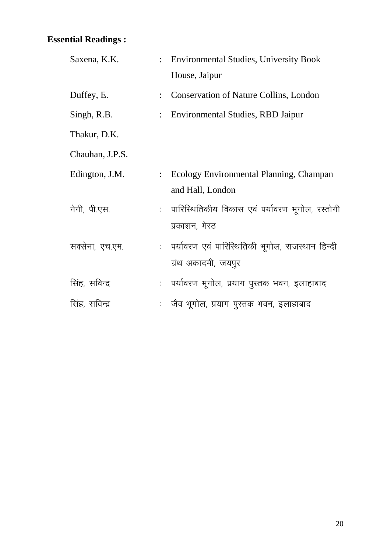| Saxena, K.K.    | : Environmental Studies, University Book<br>House, Jaipur                 |
|-----------------|---------------------------------------------------------------------------|
| Duffey, E.      | <b>Conservation of Nature Collins, London</b>                             |
| Singh, R.B.     | Environmental Studies, RBD Jaipur                                         |
| Thakur, D.K.    |                                                                           |
| Chauhan, J.P.S. |                                                                           |
| Edington, J.M.  | Ecology Environmental Planning, Champan<br>and Hall, London               |
| नेगी, पी.एस.    | : पारिस्थितिकीय विकास एवं पर्यावरण भूगोल, रस्तोगी<br>प्रकाशन, मेरठ        |
| सक्सेना, एच.एम. | : पर्यावरण एवं पारिस्थितिकी भूगोल, राजस्थान हिन्दी<br>ग्रंथ अकादमी, जयपुर |
| सिंह, सविन्द्र  | : पर्यावरण भूगोल, प्रयाग पुस्तक भवन, इलाहाबाद                             |
| सिंह, सविन्द्र  | : जैव भूगोल, प्रयाग पुस्तक भवन, इलाहाबाद                                  |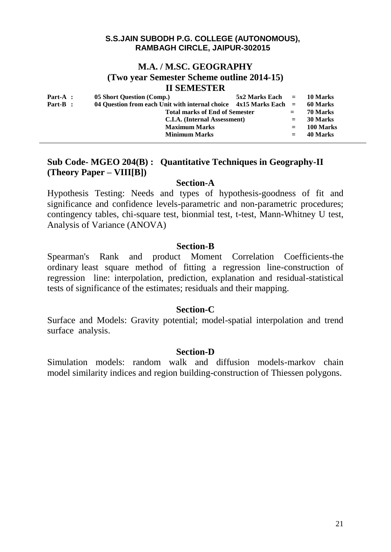## **M.A. / M.SC. GEOGRAPHY (Two year Semester Scheme outline 2014-15) II SEMESTER**

| Part-A :   | 05 Short Question (Comp.)                                             | $5x2$ Marks Each $=$ |          | 10 Marks  |
|------------|-----------------------------------------------------------------------|----------------------|----------|-----------|
| $Part-B$ : | 04 Question from each Unit with internal choice $4x15$ Marks Each $=$ |                      | 60 Marks |           |
|            | <b>Total marks of End of Semester</b>                                 | $=$                  | 70 Marks |           |
|            | C.I.A. (Internal Assessment)                                          |                      | $=$      | 30 Marks  |
|            | <b>Maximum Marks</b>                                                  |                      | $=$      | 100 Marks |
|            | <b>Minimum Marks</b>                                                  |                      | $=$      | 40 Marks  |

# **Sub Code- MGEO 204(B) : Quantitative Techniques in Geography-II (Theory Paper – VIII[B])**

## **Section-A**

Hypothesis Testing: Needs and types of hypothesis-goodness of fit and significance and confidence levels-parametric and non-parametric procedures; contingency tables, chi-square test, bionmial test, t-test, Mann-Whitney U test, Analysis of Variance (ANOVA)

## **Section-B**

Spearman's Rank and product Moment Correlation Coefficients-the ordinary least square method of fitting a regression line-construction of regression line: interpolation, prediction, explanation and residual-statistical tests of significance of the estimates; residuals and their mapping.

# **Section-C**

Surface and Models: Gravity potential; model-spatial interpolation and trend surface analysis.

## **Section-D**

Simulation models: random walk and diffusion models-markov chain model similarity indices and region building-construction of Thiessen polygons.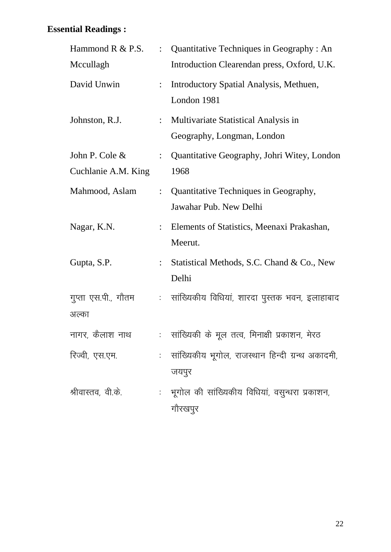| Hammond $R \& P.S.$                   | $\ddot{\cdot}$ | Quantitative Techniques in Geography : An                          |
|---------------------------------------|----------------|--------------------------------------------------------------------|
| Mccullagh                             |                | Introduction Clearendan press, Oxford, U.K.                        |
| David Unwin                           | $\ddot{\cdot}$ | Introductory Spatial Analysis, Methuen,<br>London 1981             |
| Johnston, R.J.                        | $\ddot{\cdot}$ | Multivariate Statistical Analysis in<br>Geography, Longman, London |
| John P. Cole &<br>Cuchlanie A.M. King | $\ddot{\cdot}$ | Quantitative Geography, Johri Witey, London<br>1968                |
| Mahmood, Aslam                        |                | : Quantitative Techniques in Geography,<br>Jawahar Pub. New Delhi  |
| Nagar, K.N.                           |                | Elements of Statistics, Meenaxi Prakashan,<br>Meerut.              |
| Gupta, S.P.                           |                | Statistical Methods, S.C. Chand & Co., New<br>Delhi                |
| गुप्ता एस.पी., गौतम<br>अल्का          |                | : सांख्यिकीय विधियां, शारदा पुस्तक भवन, इलाहाबाद                   |
| नागर, कैलाश नाथ                       |                | :   सांख्यिकी के मूल तत्व, मिनाक्षी प्रकाशन, मेरठ                  |
| रिज्वी, एस.एम.                        |                | :   सांख्यिकीय भूगोल, राजस्थान हिन्दी ग्रन्थ अकादमी,<br>जयपुर      |
| श्रीवास्तव, वी.के.                    |                | :   भूगोल की सांख्यिकीय विधियां, वसुन्धरा प्रकाशन,<br>गौरखपुर      |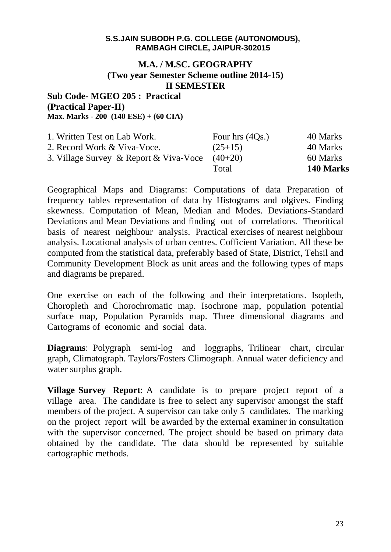## **M.A. / M.SC. GEOGRAPHY (Two year Semester Scheme outline 2014-15) II SEMESTER**

## **Sub Code- MGEO 205 : Practical (Practical Paper-II) Max. Marks - 200 (140 ESE) + (60 CIA)**

| 1. Written Test on Lab Work.           | Four hrs $(4Qs.)$ | 40 Marks  |
|----------------------------------------|-------------------|-----------|
| 2. Record Work & Viva-Voce.            | $(25+15)$         | 40 Marks  |
| 3. Village Survey & Report & Viva-Voce | $(40+20)$         | 60 Marks  |
|                                        | Total             | 140 Marks |

Geographical Maps and Diagrams: Computations of data Preparation of frequency tables representation of data by Histograms and olgives. Finding skewness. Computation of Mean, Median and Modes. Deviations-Standard Deviations and Mean Deviations and finding out of correlations. Theoritical basis of nearest neighbour analysis. Practical exercises of nearest neighbour analysis. Locational analysis of urban centres. Cofficient Variation. All these be computed from the statistical data, preferably based of State, District, Tehsil and Community Development Block as unit areas and the following types of maps and diagrams be prepared.

One exercise on each of the following and their interpretations. Isopleth, Choropleth and Chorochromatic map. Isochrone map, population potential surface map, Population Pyramids map. Three dimensional diagrams and Cartograms of economic and social data.

**Diagrams**: Polygraph semi-log and loggraphs, Trilinear chart, circular graph, Climatograph. Taylors/Fosters Climograph. Annual water deficiency and water surplus graph.

**Village Survey Report**: A candidate is to prepare project report of a village area. The candidate is free to select any supervisor amongst the staff members of the project. A supervisor can take only 5 candidates. The marking on the project report will be awarded by the external examiner in consultation with the supervisor concerned. The project should be based on primary data obtained by the candidate. The data should be represented by suitable cartographic methods.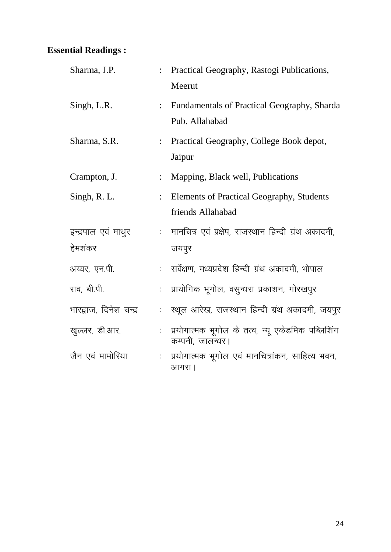| Sharma, J.P.           |                | Practical Geography, Rastogi Publications,<br>Meerut                  |
|------------------------|----------------|-----------------------------------------------------------------------|
| Singh, L.R.            |                | Fundamentals of Practical Geography, Sharda<br>Pub. Allahabad         |
| Sharma, S.R.           |                | Practical Geography, College Book depot,<br>Jaipur                    |
| Crampton, J.           |                | Mapping, Black well, Publications                                     |
| Singh, R. L.           | $\ddot{\cdot}$ | Elements of Practical Geography, Students<br>friends Allahabad        |
| इन्द्रपाल एवं माथुर    |                | मानचित्र एवं प्रक्षेप, राजस्थान हिन्दी ग्रंथ अकादमी,                  |
| हेमशंकर                |                | जयपुर                                                                 |
| अय्यर, एन.पी.          |                | :    सर्वेक्षण, मध्यप्रदेश हिन्दी ग्रंथ अकादमी, भोपाल                 |
| राव, बी.पी.            |                | प्रायोगिक भूगोल, वसुन्धरा प्रकाशन, गोरखपुर                            |
| भारद्वाज, दिनेश चन्द्र |                | स्थूल आरेख, राजस्थान हिन्दी ग्रंथ अकादमी, जयपुर                       |
| खुल्लर, डी.आर.         |                | प्रयोगात्मक भूगोल के तत्व, न्यू एकेडमिक पब्लिशिंग<br>कम्पनी, जालन्धर। |
| जैन एवं मामोरिया       |                | प्रयोगात्मक भूगोल एवं मानचित्रांकन, साहित्य भवन,<br>आगरा              |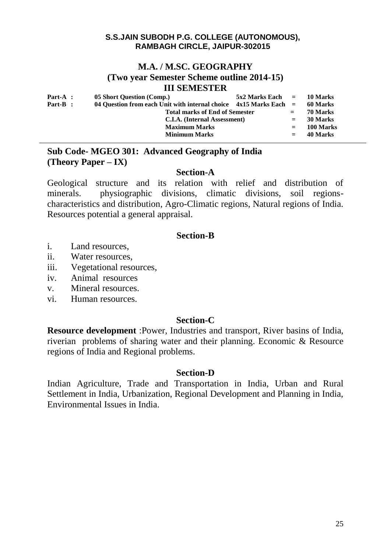## **M.A. / M.SC. GEOGRAPHY (Two year Semester Scheme outline 2014-15) III SEMESTER**

| $Part-A$ : | 05 Short Question (Comp.)                                           | $5x2$ Marks Each $=$ | 10 Marks |           |
|------------|---------------------------------------------------------------------|----------------------|----------|-----------|
| $Part-B$ : | 04 Question from each Unit with internal choice $4x15$ Marks Each = |                      | 60 Marks |           |
|            | <b>Total marks of End of Semester</b>                               | $=$                  | 70 Marks |           |
|            | C.I.A. (Internal Assessment)                                        |                      | $=$      | 30 Marks  |
|            | <b>Maximum Marks</b>                                                |                      | $=$      | 100 Marks |
|            | <b>Minimum Marks</b>                                                |                      | $=$      | 40 Marks  |

# **Sub Code- MGEO 301: Advanced Geography of India (Theory Paper – IX)**

## **Section-A**

Geological structure and its relation with relief and distribution of minerals. physiographic divisions, climatic divisions, soil regionscharacteristics and distribution, Agro-Climatic regions, Natural regions of India. Resources potential a general appraisal.

## **Section-B**

- i. Land resources,
- ii. Water resources,
- iii. Vegetational resources,
- iv. Animal resources
- v. Mineral resources.
- vi. Human resources.

# **Section-C**

**Resource development** :Power, Industries and transport, River basins of India, riverian problems of sharing water and their planning. Economic & Resource regions of India and Regional problems.

## **Section-D**

Indian Agriculture, Trade and Transportation in India, Urban and Rural Settlement in India, Urbanization, Regional Development and Planning in India, Environmental Issues in India.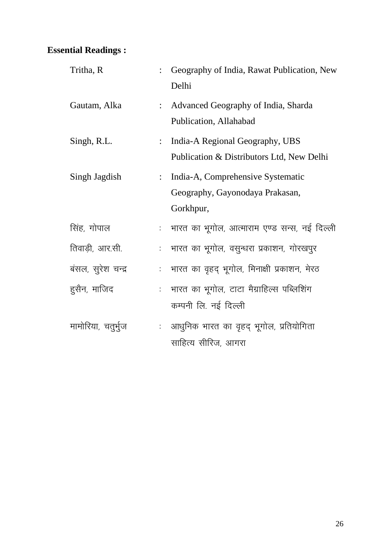| Tritha, R          |                | Geography of India, Rawat Publication, New<br>Delhi                               |
|--------------------|----------------|-----------------------------------------------------------------------------------|
| Gautam, Alka       | $\ddot{\cdot}$ | Advanced Geography of India, Sharda<br>Publication, Allahabad                     |
| Singh, R.L.        |                | India-A Regional Geography, UBS<br>Publication & Distributors Ltd, New Delhi      |
| Singh Jagdish      | $\ddot{\cdot}$ | India-A, Comprehensive Systematic<br>Geography, Gayonodaya Prakasan,<br>Gorkhpur, |
| सिंह, गोपाल        |                | :   भारत का भूगोल, आत्माराम एण्ड सन्स, नई दिल्ली                                  |
| तिवाड़ी, आर.सी.    |                | भारत का भूगोल, वसुन्धरा प्रकाशन, गोरखपुर                                          |
| बंसल, सूरेश चन्द्र |                | :   भारत का वृहद् भूगोल, मिनाक्षी प्रकाशन, मेरठ                                   |
| हुसैन, माजिद       |                | :   भारत का भूगोल, टाटा मैग्राहिल्स पब्लिशिंग<br>कम्पनी लि. नई दिल्ली             |
| मामोरिया, चतुर्भुज |                | : आधुनिक भारत का वृहद् भूगोल, प्रतियोगिता<br>साहित्य सीरिज, आगरा                  |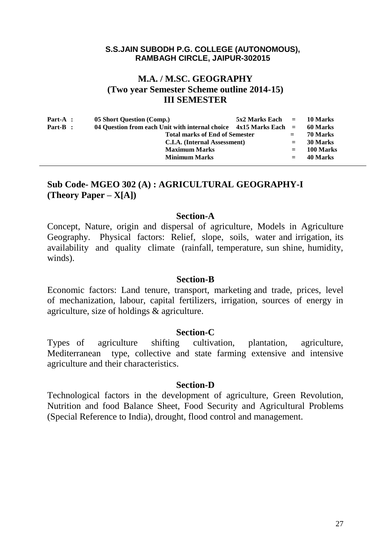# **M.A. / M.SC. GEOGRAPHY (Two year Semester Scheme outline 2014-15) III SEMESTER**

| Part-A : | 05 Short Question (Comp.)                                             | $5x2$ Marks Each $=$ 10 Marks |          |           |
|----------|-----------------------------------------------------------------------|-------------------------------|----------|-----------|
| Part-B : | 04 Ouestion from each Unit with internal choice $4x15$ Marks Each $=$ |                               | 60 Marks |           |
|          | <b>Total marks of End of Semester</b>                                 |                               | $=$      | 70 Marks  |
|          | C.I.A. (Internal Assessment)                                          |                               | $=$      | 30 Marks  |
|          | <b>Maximum Marks</b>                                                  |                               | $=$      | 100 Marks |
|          | <b>Minimum Marks</b>                                                  |                               | $=$      | 40 Marks  |
|          |                                                                       |                               |          |           |

# **Sub Code- MGEO 302 (A) : AGRICULTURAL GEOGRAPHY-I (Theory Paper – X[A])**

#### **Section-A**

Concept, Nature, origin and dispersal of agriculture, Models in Agriculture Geography. Physical factors: Relief, slope, soils, water and irrigation, its availability and quality climate (rainfall, temperature, sun shine, humidity, winds).

#### **Section-B**

Economic factors: Land tenure, transport, marketing and trade, prices, level of mechanization, labour, capital fertilizers, irrigation, sources of energy in agriculture, size of holdings & agriculture.

#### **Section-C**

Types of agriculture shifting cultivation, plantation, agriculture, Mediterranean type, collective and state farming extensive and intensive agriculture and their characteristics.

#### **Section-D**

Technological factors in the development of agriculture, Green Revolution, Nutrition and food Balance Sheet, Food Security and Agricultural Problems (Special Reference to India), drought, flood control and management.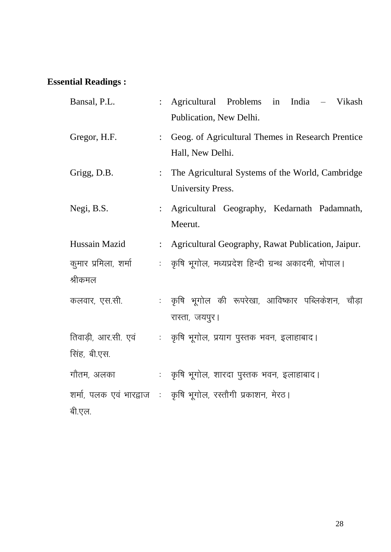| Bansal, P.L.                        | Agricultural Problems in India – Vikash<br>Publication, New Delhi.    |
|-------------------------------------|-----------------------------------------------------------------------|
| Gregor, H.F.                        | Geog. of Agricultural Themes in Research Prentice<br>Hall, New Delhi. |
| Grigg, D.B.                         | The Agricultural Systems of the World, Cambridge<br>University Press. |
| Negi, B.S.                          | Agricultural Geography, Kedarnath Padamnath,<br>Meerut.               |
| Hussain Mazid                       | : Agricultural Geography, Rawat Publication, Jaipur.                  |
| कुमार प्रमिला, शर्मा<br>श्रीकमल     | : कृषि भूगोल, मध्यप्रदेश हिन्दी ग्रन्थ अकादमी, भोपाल।                 |
| कलवार, एस.सी.                       | : कृषि भूगोल की रूपरेखा, आविष्कार पब्लिकेशन, चौड़ा<br>रास्ता, जयपुर।  |
| तिवाड़ी, आर.सी. एवं<br>सिंह, बी.एस. | : कृषि भूगोल, प्रयाग पुस्तक भवन, इलाहाबाद।                            |
| गौतम, अलका                          | : कृषि भूगोल, शारदा पुस्तक भवन, इलाहाबाद।                             |
| बी.एल.                              | शर्मा, पलक एवं भारद्वाज ः कृषि भूगोल, रस्तौगी प्रकाशन, मेरठ।          |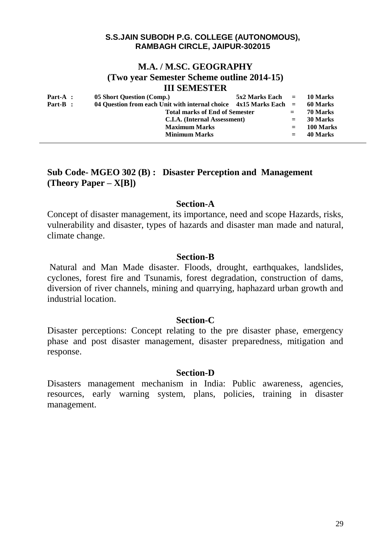## **M.A. / M.SC. GEOGRAPHY (Two year Semester Scheme outline 2014-15) III SEMESTER**

| $Part-A$ :<br>$Part-B$ : | 05 Short Question (Comp.)<br>04 Question from each Unit with internal choice $4x15$ Marks Each =<br><b>Total marks of End of Semester</b> | $5x2$ Marks Each $=$ 10 Marks | $=$ | 60 Marks<br>70 Marks |
|--------------------------|-------------------------------------------------------------------------------------------------------------------------------------------|-------------------------------|-----|----------------------|
|                          | C.I.A. (Internal Assessment)                                                                                                              |                               | $=$ | 30 Marks             |
|                          | <b>Maximum Marks</b>                                                                                                                      |                               | $=$ | 100 Marks            |
|                          | <b>Minimum Marks</b>                                                                                                                      |                               |     | 40 Marks             |

# **Sub Code- MGEO 302 (B) : Disaster Perception and Management (Theory Paper – X[B])**

## **Section-A**

Concept of disaster management, its importance, need and scope Hazards, risks, vulnerability and disaster, types of hazards and disaster man made and natural, climate change.

## **Section-B**

Natural and Man Made disaster. Floods, drought, earthquakes, landslides, cyclones, forest fire and Tsunamis, forest degradation, construction of dams, diversion of river channels, mining and quarrying, haphazard urban growth and industrial location.

## **Section-C**

Disaster perceptions: Concept relating to the pre disaster phase, emergency phase and post disaster management, disaster preparedness, mitigation and response.

### **Section-D**

Disasters management mechanism in India: Public awareness, agencies, resources, early warning system, plans, policies, training in disaster management.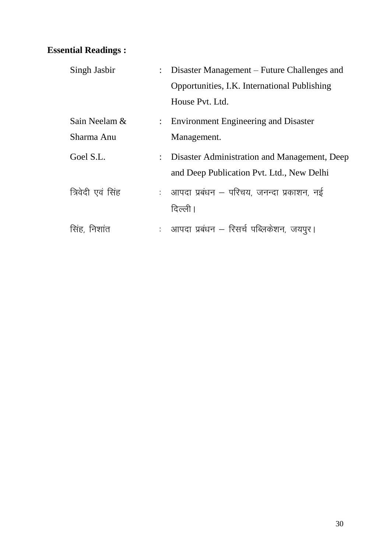| Singh Jasbir      | Disaster Management – Future Challenges and  |
|-------------------|----------------------------------------------|
|                   | Opportunities, I.K. International Publishing |
|                   | House Pvt. Ltd.                              |
| Sain Neelam &     | : Environment Engineering and Disaster       |
| Sharma Anu        | Management.                                  |
| Goel S.L.         | Disaster Administration and Management, Deep |
|                   | and Deep Publication Pvt. Ltd., New Delhi    |
| त्रिवेदी एवं सिंह | : आपदा प्रबंधन – परिचय, जनन्दा प्रकाशन, नई   |
|                   | दिल्ली।                                      |
| सिंह, निशांत      | : आपदा प्रबंधन – रिसर्च पब्लिकेशन, जयपुर।    |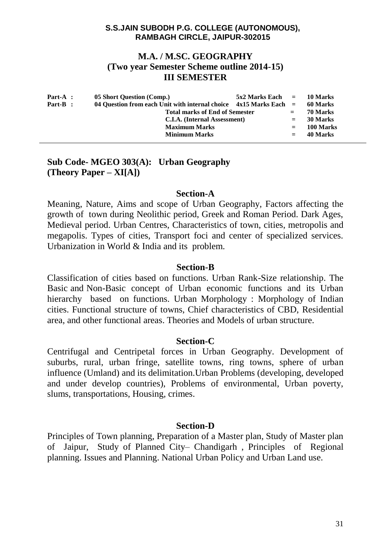## **M.A. / M.SC. GEOGRAPHY (Two year Semester Scheme outline 2014-15) III SEMESTER**

| Part-A : | 05 Short Question (Comp.)                                           | $5x2$ Marks Each $=$ 10 Marks |          |           |
|----------|---------------------------------------------------------------------|-------------------------------|----------|-----------|
| Part-B : | 04 Question from each Unit with internal choice $4x15$ Marks Each = |                               | 60 Marks |           |
|          | <b>Total marks of End of Semester</b>                               | $=$ $-$                       | 70 Marks |           |
|          | C.I.A. (Internal Assessment)                                        | $=$                           | 30 Marks |           |
|          | <b>Maximum Marks</b>                                                |                               | $=$      | 100 Marks |
|          | <b>Minimum Marks</b>                                                |                               | $=$      | 40 Marks  |

# **Sub Code- MGEO 303(A): Urban Geography (Theory Paper – XI[A])**

### **Section-A**

Meaning, Nature, Aims and scope of Urban Geography, Factors affecting the growth of town during Neolithic period, Greek and Roman Period. Dark Ages, Medieval period. Urban Centres, Characteristics of town, cities, metropolis and megapolis. Types of cities, Transport foci and center of specialized services. Urbanization in World & India and its problem.

## **Section-B**

Classification of cities based on functions. Urban Rank-Size relationship. The Basic and Non-Basic concept of Urban economic functions and its Urban hierarchy based on functions. Urban Morphology : Morphology of Indian cities. Functional structure of towns, Chief characteristics of CBD, Residential area, and other functional areas. Theories and Models of urban structure.

## **Section-C**

Centrifugal and Centripetal forces in Urban Geography. Development of suburbs, rural, urban fringe, satellite towns, ring towns, sphere of urban influence (Umland) and its delimitation.Urban Problems (developing, developed and under develop countries), Problems of environmental, Urban poverty, slums, transportations, Housing, crimes.

## **Section-D**

Principles of Town planning, Preparation of a Master plan, Study of Master plan of Jaipur, Study of Planned City– Chandigarh , Principles of Regional planning. Issues and Planning. National Urban Policy and Urban Land use.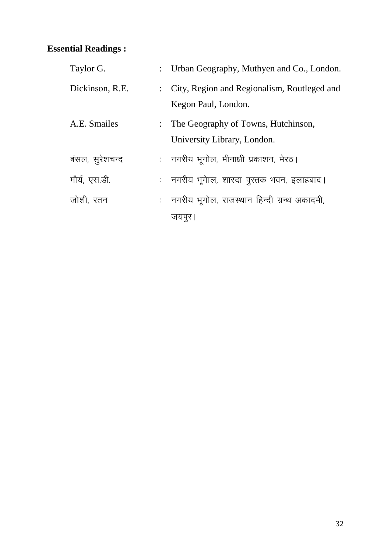| Taylor G.       | : Urban Geography, Muthyen and Co., London.                          |
|-----------------|----------------------------------------------------------------------|
| Dickinson, R.E. | : City, Region and Regionalism, Routleged and<br>Kegon Paul, London. |
| A.E. Smailes    | : The Geography of Towns, Hutchinson,<br>University Library, London. |
| बंसल, सुरेशचन्द | :    नगरीय भूगोल, मीनाक्षी प्रकाशन, मेरठ।                            |
| मौर्य, एस.डी.   | :    नगरीय भूगेाल, शारदा पुस्तक भवन, इलाहबाद।                        |
| जोशी, रतन       | : नगरीय भूगोल, राजस्थान हिन्दी ग्रन्थ अकादमी,                        |
|                 | जयपूर ।                                                              |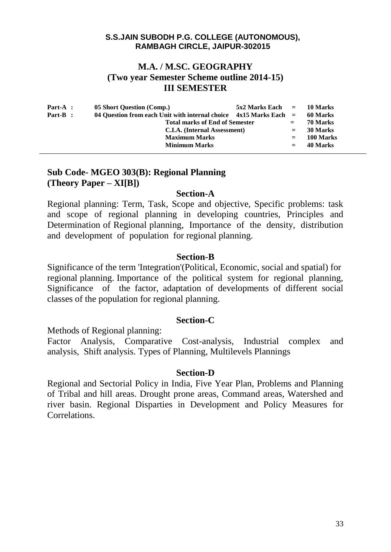# **M.A. / M.SC. GEOGRAPHY (Two year Semester Scheme outline 2014-15) III SEMESTER**

| $Part-A$ : | 05 Short Question (Comp.)                                             | $5x2$ Marks Each $=$ 10 Marks |          |           |
|------------|-----------------------------------------------------------------------|-------------------------------|----------|-----------|
| Part-B :   | 04 Ouestion from each Unit with internal choice $4x15$ Marks Each $=$ |                               | 60 Marks |           |
|            | <b>Total marks of End of Semester</b>                                 | $=$                           | 70 Marks |           |
|            | C.I.A. (Internal Assessment)                                          | $=$                           | 30 Marks |           |
|            | <b>Maximum Marks</b>                                                  |                               |          | 100 Marks |
|            | <b>Minimum Marks</b>                                                  |                               | $=$      | 40 Marks  |
|            |                                                                       |                               |          |           |

# **Sub Code- MGEO 303(B): Regional Planning (Theory Paper – XI[B])**

## **Section-A**

Regional planning: Term, Task, Scope and objective, Specific problems: task and scope of regional planning in developing countries, Principles and Determination of Regional planning, Importance of the density, distribution and development of population for regional planning.

## **Section-B**

Significance of the term 'Integration'(Political, Economic, social and spatial) for regional planning. Importance of the political system for regional planning, Significance of the factor, adaptation of developments of different social classes of the population for regional planning.

# **Section-C**

Methods of Regional planning:

Factor Analysis, Comparative Cost-analysis, Industrial complex and analysis, Shift analysis. Types of Planning, Multilevels Plannings

## **Section-D**

Regional and Sectorial Policy in India, Five Year Plan, Problems and Planning of Tribal and hill areas. Drought prone areas, Command areas, Watershed and river basin. Regional Disparties in Development and Policy Measures for Correlations.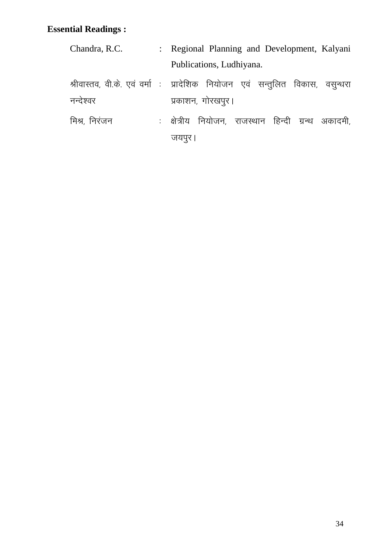| Chandra, R.C. | : Regional Planning and Development, Kalyani                                  |
|---------------|-------------------------------------------------------------------------------|
|               | Publications, Ludhiyana.                                                      |
|               | श्रीवास्तव, वी.के. एवं वर्मा) : प्रादेशिक नियोजन एवं सन्तुलित विकास, वसुन्धरा |
| नन्देश्वर     | प्रकाशन, गोरखपूर।                                                             |
| मिश्र, निरंजन | : क्षेत्रीय नियोजन, राजस्थान हिन्दी ग्रन्थ अकादमी,                            |
|               | जयपुर                                                                         |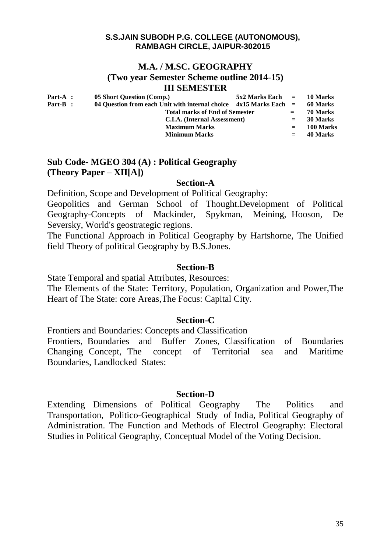## **M.A. / M.SC. GEOGRAPHY (Two year Semester Scheme outline 2014-15) III SEMESTER**

| $Part-A$ :<br>Part-B : | 05 Short Question (Comp.)                                                                                           | $5x2$ Marks Each $=$ 10 Marks |     | 60 Marks  |
|------------------------|---------------------------------------------------------------------------------------------------------------------|-------------------------------|-----|-----------|
|                        | 04 Question from each Unit with internal choice $4x15$ Marks Each =<br><b>Total marks of End of Semester</b><br>$=$ |                               |     | 70 Marks  |
|                        | C.I.A. (Internal Assessment)                                                                                        |                               | $=$ | 30 Marks  |
|                        | <b>Maximum Marks</b>                                                                                                |                               | $=$ | 100 Marks |
|                        | <b>Minimum Marks</b>                                                                                                |                               | $=$ | 40 Marks  |

# **Sub Code- MGEO 304 (A) : Political Geography (Theory Paper – XII[A])**

# **Section-A**

Definition, Scope and Development of Political Geography:

Geopolitics and German School of Thought.Development of Political Geography-Concepts of Mackinder, Spykman, Meining, Hooson, De Seversky, World's geostrategic regions.

The Functional Approach in Political Geography by Hartshorne, The Unified field Theory of political Geography by B.S.Jones.

## **Section-B**

State Temporal and spatial Attributes, Resources:

The Elements of the State: Territory, Population, Organization and Power,The Heart of The State: core Areas,The Focus: Capital City.

# **Section-C**

Frontiers and Boundaries: Concepts and Classification Frontiers, Boundaries and Buffer Zones, Classification of Boundaries Changing Concept, The concept of Territorial sea and Maritime Boundaries, Landlocked States:

# **Section-D**

Extending Dimensions of Political Geography The Politics and Transportation, Politico-Geographical Study of India, Political Geography of Administration. The Function and Methods of Electrol Geography: Electoral Studies in Political Geography, Conceptual Model of the Voting Decision.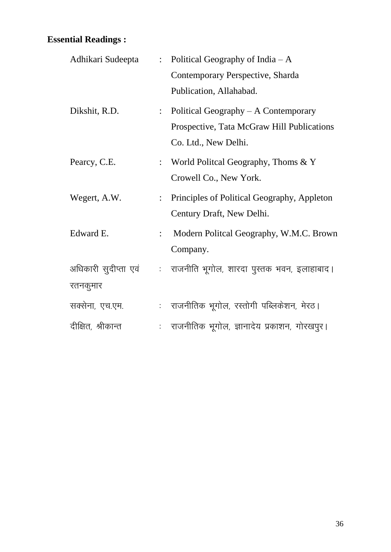| Adhikari Sudeepta    | $\ddot{\cdot}$            | Political Geography of India $-A$               |
|----------------------|---------------------------|-------------------------------------------------|
|                      |                           | Contemporary Perspective, Sharda                |
|                      |                           | Publication, Allahabad.                         |
| Dikshit, R.D.        | $\mathbb{R}^{\mathbb{Z}}$ | Political Geography $- A$ Contemporary          |
|                      |                           | Prospective, Tata McGraw Hill Publications      |
|                      |                           | Co. Ltd., New Delhi.                            |
| Pearcy, C.E.         |                           | : World Politcal Geography, Thoms $& Y$         |
|                      |                           | Crowell Co., New York.                          |
| Wegert, A.W.         |                           | : Principles of Political Geography, Appleton   |
|                      |                           | Century Draft, New Delhi.                       |
| Edward E.            | $\ddot{\cdot}$            | Modern Politcal Geography, W.M.C. Brown         |
|                      |                           | Company.                                        |
| अधिकारी सुदीप्ता एवं |                           | : राजनीति भूगोल, शारदा पुस्तक भवन, इलाहाबाद।    |
| रतनकुमार             |                           |                                                 |
| सक्सेना, एच.एम.      |                           | : राजनीतिक भूगोल, रस्तोगी पब्लिकेशन, मेरठ।      |
| दीक्षित, श्रीकान्त   |                           | :   राजनीतिक भूगोल, ज्ञानादेय प्रकाशन, गोरखपुर। |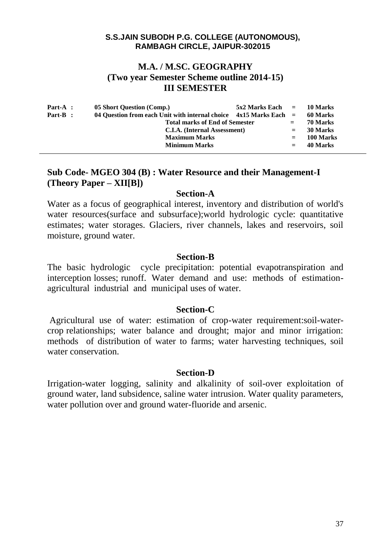# **M.A. / M.SC. GEOGRAPHY (Two year Semester Scheme outline 2014-15) III SEMESTER**

| Part-A : | 05 Short Question (Comp.)                                             | $5x2$ Marks Each $=$ 10 Marks |          |           |
|----------|-----------------------------------------------------------------------|-------------------------------|----------|-----------|
| Part-B : | 04 Ouestion from each Unit with internal choice $4x15$ Marks Each $=$ |                               | 60 Marks |           |
|          | <b>Total marks of End of Semester</b>                                 | $=$                           | 70 Marks |           |
|          | C.I.A. (Internal Assessment)                                          |                               | $=$      | 30 Marks  |
|          | <b>Maximum Marks</b>                                                  |                               | $=$      | 100 Marks |
|          | <b>Minimum Marks</b>                                                  |                               | $=$      | 40 Marks  |
|          |                                                                       |                               |          |           |

# **Sub Code- MGEO 304 (B) : Water Resource and their Management-I (Theory Paper – XII[B])**

## **Section-A**

Water as a focus of geographical interest, inventory and distribution of world's water resources(surface and subsurface); world hydrologic cycle: quantitative estimates; water storages. Glaciers, river channels, lakes and reservoirs, soil moisture, ground water.

## **Section-B**

The basic hydrologic cycle precipitation: potential evapotranspiration and interception losses; runoff. Water demand and use: methods of estimationagricultural industrial and municipal uses of water.

# **Section-C**

Agricultural use of water: estimation of crop-water requirement:soil-watercrop relationships; water balance and drought; major and minor irrigation: methods of distribution of water to farms; water harvesting techniques, soil water conservation.

## **Section-D**

Irrigation-water logging, salinity and alkalinity of soil-over exploitation of ground water, land subsidence, saline water intrusion. Water quality parameters, water pollution over and ground water-fluoride and arsenic.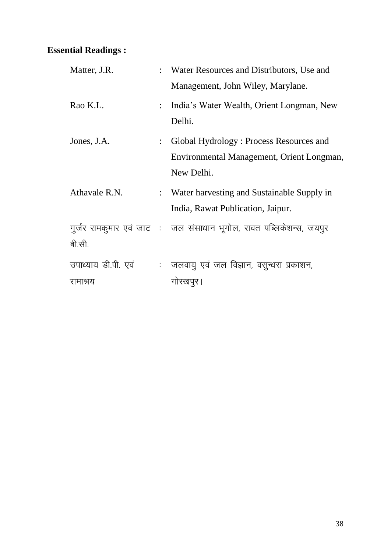| Matter, J.R.                    |                           | : Water Resources and Distributors, Use and                                                        |
|---------------------------------|---------------------------|----------------------------------------------------------------------------------------------------|
|                                 |                           | Management, John Wiley, Marylane.                                                                  |
| Rao K.L.                        | $\mathbb{R}^{\mathbb{Z}}$ | India's Water Wealth, Orient Longman, New<br>Delhi.                                                |
| Jones, J.A.                     | $\mathbb{R}^{\mathbb{Z}}$ | Global Hydrology: Process Resources and<br>Environmental Management, Orient Longman,<br>New Delhi. |
| Athavale R.N.                   |                           | : Water harvesting and Sustainable Supply in<br>India, Rawat Publication, Jaipur.                  |
| बी.सी.                          |                           | गुर्जर रामकुमार एवं जाट : जल संसाधान भूगोल, रावत पब्लिकेशन्स, जयपुर                                |
| उपाध्याय डी.पी. एवं<br>रामाश्रय |                           | : जलवायु एवं जल विज्ञान, वसुन्धरा प्रकाशन,<br>गोरखपुर ।                                            |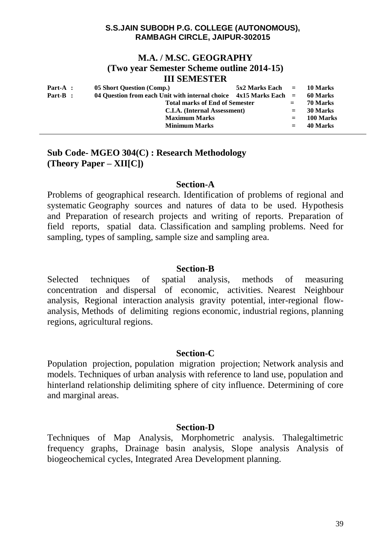## **M.A. / M.SC. GEOGRAPHY (Two year Semester Scheme outline 2014-15) III SEMESTER**

| Part-A : | 05 Short Question (Comp.)                                           | $5x2$ Marks Each $=$ |          | 10 Marks  |
|----------|---------------------------------------------------------------------|----------------------|----------|-----------|
| Part-B : | 04 Question from each Unit with internal choice $4x15$ Marks Each = |                      | 60 Marks |           |
|          | <b>Total marks of End of Semester</b>                               | $=$                  | 70 Marks |           |
|          | C.I.A. (Internal Assessment)                                        |                      | $=$      | 30 Marks  |
|          | <b>Maximum Marks</b>                                                |                      | $=$      | 100 Marks |
|          | <b>Minimum Marks</b>                                                |                      | $=$      | 40 Marks  |

# **Sub Code- MGEO 304(C) : Research Methodology (Theory Paper – XII[C])**

## **Section-A**

Problems of geographical research. Identification of problems of regional and systematic Geography sources and natures of data to be used. Hypothesis and Preparation of research projects and writing of reports. Preparation of field reports, spatial data. Classification and sampling problems. Need for sampling, types of sampling, sample size and sampling area.

## **Section-B**

Selected techniques of spatial analysis, methods of measuring concentration and dispersal of economic, activities. Nearest Neighbour analysis, Regional interaction analysis gravity potential, inter-regional flowanalysis, Methods of delimiting regions economic, industrial regions, planning regions, agricultural regions.

## **Section-C**

Population projection, population migration projection; Network analysis and models. Techniques of urban analysis with reference to land use, population and hinterland relationship delimiting sphere of city influence. Determining of core and marginal areas.

## **Section-D**

Techniques of Map Analysis, Morphometric analysis. Thalegaltimetric frequency graphs, Drainage basin analysis, Slope analysis Analysis of biogeochemical cycles, Integrated Area Development planning.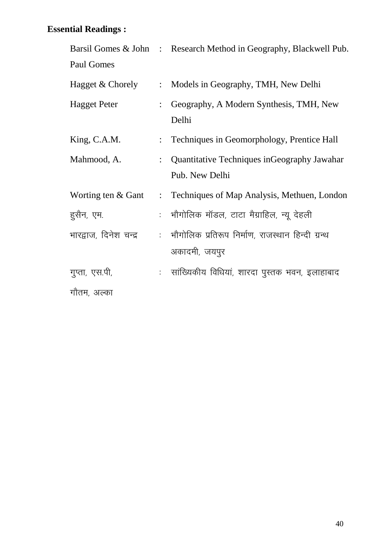|                        |                           | Barsil Gomes & John : Research Method in Geography, Blackwell Pub. |
|------------------------|---------------------------|--------------------------------------------------------------------|
| Paul Gomes             |                           |                                                                    |
| Hagget & Chorely       | $\ddot{\cdot}$            | Models in Geography, TMH, New Delhi                                |
| <b>Hagget Peter</b>    | $\ddot{\cdot}$            | Geography, A Modern Synthesis, TMH, New<br>Delhi                   |
| King, C.A.M.           | $\ddot{\cdot}$            | Techniques in Geomorphology, Prentice Hall                         |
| Mahmood, A.            |                           | : Quantitative Techniques in Geography Jawahar                     |
|                        |                           | Pub. New Delhi                                                     |
| Worting ten & Gant     | $\mathbb{R}^{\mathbb{Z}}$ | Techniques of Map Analysis, Methuen, London                        |
| हुसैन, एम.             |                           | :   भौगोलिक मॉडल, टाटा मैग्राहिल, न्यू देहली                       |
| भारद्वाज, दिनेश चन्द्र |                           | :   भौगोलिक प्रतिरूप निर्माण, राजस्थान हिन्दी ग्रन्थ               |
|                        |                           | अकादमी, जयपुर                                                      |
| गुप्ता, एस.पी,         |                           | :   सांख्यिकीय विधियां, शारदा पुस्तक भवन, इलाहाबाद                 |
| गौतम, अल्का            |                           |                                                                    |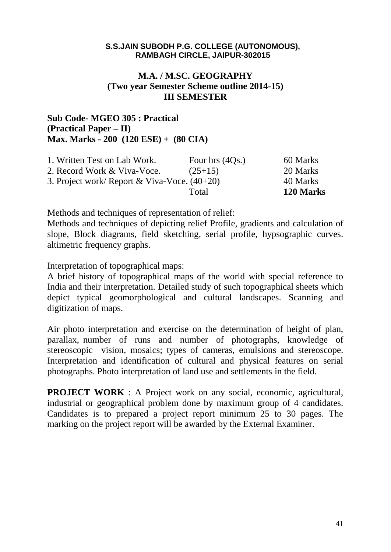# **M.A. / M.SC. GEOGRAPHY (Two year Semester Scheme outline 2014-15) III SEMESTER**

# **Sub Code- MGEO 305 : Practical (Practical Paper – II) Max. Marks - 200 (120 ESE) + (80 CIA)**

| 1. Written Test on Lab Work.                   | Four hrs $(4Qs.)$ | 60 Marks  |
|------------------------------------------------|-------------------|-----------|
| 2. Record Work & Viva-Voce.                    | $(25+15)$         | 20 Marks  |
| 3. Project work/ Report & Viva-Voce. $(40+20)$ |                   | 40 Marks  |
|                                                | Total             | 120 Marks |

Methods and techniques of representation of relief:

Methods and techniques of depicting relief Profile, gradients and calculation of slope, Block diagrams, field sketching, serial profile, hypsographic curves. altimetric frequency graphs.

Interpretation of topographical maps:

A brief history of topographical maps of the world with special reference to India and their interpretation. Detailed study of such topographical sheets which depict typical geomorphological and cultural landscapes. Scanning and digitization of maps.

Air photo interpretation and exercise on the determination of height of plan, parallax, number of runs and number of photographs, knowledge of stereoscopic vision, mosaics; types of cameras, emulsions and stereoscope. Interpretation and identification of cultural and physical features on serial photographs. Photo interpretation of land use and settlements in the field.

**PROJECT WORK** : A Project work on any social, economic, agricultural, industrial or geographical problem done by maximum group of 4 candidates. Candidates is to prepared a project report minimum 25 to 30 pages. The marking on the project report will be awarded by the External Examiner.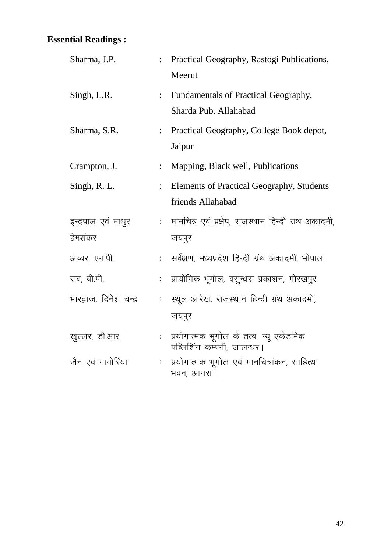| Sharma, J.P.           | $\ddot{\cdot}$       | Practical Geography, Rastogi Publications,<br>Meerut                  |
|------------------------|----------------------|-----------------------------------------------------------------------|
| Singh, L.R.            | $\ddot{\cdot}$       | Fundamentals of Practical Geography,<br>Sharda Pub. Allahabad         |
| Sharma, S.R.           | $\ddot{\cdot}$       | Practical Geography, College Book depot,<br>Jaipur                    |
| Crampton, J.           | $\ddot{\cdot}$       | Mapping, Black well, Publications                                     |
| Singh, R. L.           | $\ddot{\cdot}$       | Elements of Practical Geography, Students<br>friends Allahabad        |
| इन्द्रपाल एवं माथुर    |                      | :   मानचित्र एवं प्रक्षेप, राजस्थान हिन्दी ग्रंथ अकादमी,              |
| हेमशंकर                |                      | जयपुर                                                                 |
| अय्यर, एन.पी.          |                      | :   सर्वेक्षण, मध्यप्रदेश हिन्दी ग्रंथ अकादमी, भोपाल                  |
| राव, बी.पी.            | t.                   | प्रायोगिक भूगोल, वसुन्धरा प्रकाशन, गोरखपुर                            |
| भारद्वाज, दिनेश चन्द्र | ÷.                   | स्थूल आरेख, राजस्थान हिन्दी ग्रंथ अकादमी,<br>जयपुर                    |
| खुल्लर, डी.आर.         | $\ddot{\phantom{a}}$ | प्रयोगात्मक भूगोल के तत्व, न्यू एकेडमिक<br>पब्लिशिंग कम्पनी, जालन्धर। |
| जैन एवं मामोरिया       |                      | प्रयोगात्मक भूगोल एवं मानचित्रांकन, साहित्य<br>भवन, आगरा।             |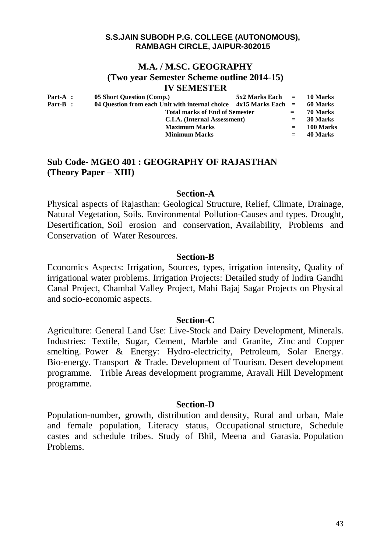## **M.A. / M.SC. GEOGRAPHY (Two year Semester Scheme outline 2014-15) IV SEMESTER**

| $Part-A$ : | 05 Short Question (Comp.)                                           | $5x2$ Marks Each $=$ 10 Marks |          |           |
|------------|---------------------------------------------------------------------|-------------------------------|----------|-----------|
| Part-B :   | 04 Question from each Unit with internal choice $4x15$ Marks Each = |                               |          | 60 Marks  |
|            | <b>Total marks of End of Semester</b>                               | $=$                           | 70 Marks |           |
|            | C.I.A. (Internal Assessment)                                        |                               | $=$      | 30 Marks  |
|            | <b>Maximum Marks</b>                                                |                               | $=$      | 100 Marks |
|            | <b>Minimum Marks</b>                                                |                               | $=$      | 40 Marks  |

# **Sub Code- MGEO 401 : GEOGRAPHY OF RAJASTHAN (Theory Paper – XIII)**

## **Section-A**

Physical aspects of Rajasthan: Geological Structure, Relief, Climate, Drainage, Natural Vegetation, Soils. Environmental Pollution-Causes and types. Drought, Desertification, Soil erosion and conservation, Availability, Problems and Conservation of Water Resources.

## **Section-B**

Economics Aspects: Irrigation, Sources, types, irrigation intensity, Quality of irrigational water problems. Irrigation Projects: Detailed study of Indira Gandhi Canal Project, Chambal Valley Project, Mahi Bajaj Sagar Projects on Physical and socio-economic aspects.

# **Section-C**

Agriculture: General Land Use: Live-Stock and Dairy Development, Minerals. Industries: Textile, Sugar, Cement, Marble and Granite, Zinc and Copper smelting. Power & Energy: Hydro-electricity, Petroleum, Solar Energy. Bio-energy. Transport & Trade. Development of Tourism. Desert development programme. Trible Areas development programme, Aravali Hill Development programme.

## **Section-D**

Population-number, growth, distribution and density, Rural and urban, Male and female population, Literacy status, Occupational structure, Schedule castes and schedule tribes. Study of Bhil, Meena and Garasia. Population Problems.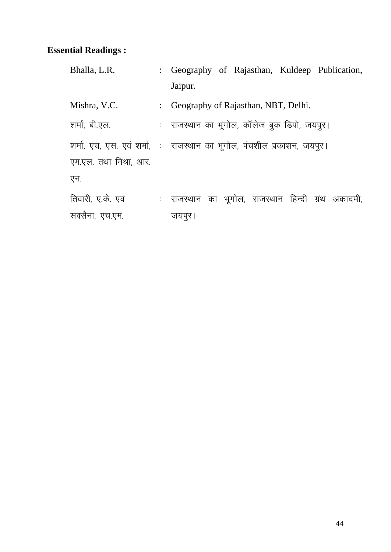| Bhalla, L.R.           | : Geography of Rajasthan, Kuldeep Publication,                          |
|------------------------|-------------------------------------------------------------------------|
|                        | Jaipur.                                                                 |
| Mishra, V.C.           | : Geography of Rajasthan, NBT, Delhi.                                   |
| शर्मा, बी.एल.          | : ) राजस्थान का भूगोल, कॉलेज बुक डिपो, जयपुर।                           |
|                        | शर्मा, एच, एस. एवं शर्मा, : ) राजस्थान का भूगोल, पंचशील प्रकाशन, जयपुर। |
| एम.एल. तथा मिश्रा, आर. |                                                                         |
| एन.                    |                                                                         |
| तिवारी, ए.के. एवं      | : राजस्थान का भूगोल, राजस्थान हिन्दी ग्रंथ अकादमी,                      |
| सक्सैना, एच.एम.        | जयपुर ।                                                                 |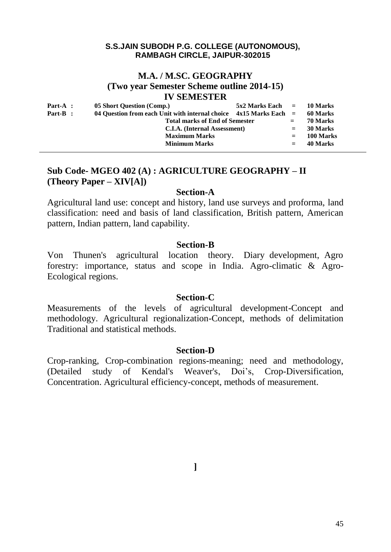# **M.A. / M.SC. GEOGRAPHY (Two year Semester Scheme outline 2014-15) IV SEMESTER**

| $Part-A$ : | 05 Short Question (Comp.)                                           | $5x2$ Marks Each $=$ 10 Marks |          |           |
|------------|---------------------------------------------------------------------|-------------------------------|----------|-----------|
| Part-B :   | 04 Ouestion from each Unit with internal choice $4x15$ Marks Each = |                               | 60 Marks |           |
|            | <b>Total marks of End of Semester</b>                               |                               | $=$      | 70 Marks  |
|            | C.I.A. (Internal Assessment)                                        |                               | $=$      | 30 Marks  |
|            | <b>Maximum Marks</b>                                                |                               | $=$      | 100 Marks |
|            | <b>Minimum Marks</b>                                                |                               | $=$      | 40 Marks  |

# **Sub Code- MGEO 402 (A) : AGRICULTURE GEOGRAPHY – II (Theory Paper – XIV[A])**

### **Section-A**

Agricultural land use: concept and history, land use surveys and proforma, land classification: need and basis of land classification, British pattern, American pattern, Indian pattern, land capability.

## **Section-B**

Von Thunen's agricultural location theory. Diary development, Agro forestry: importance, status and scope in India. Agro-climatic & Agro-Ecological regions.

### **Section-C**

Measurements of the levels of agricultural development-Concept and methodology. Agricultural regionalization-Concept, methods of delimitation Traditional and statistical methods.

### **Section-D**

Crop-ranking, Crop-combination regions-meaning; need and methodology, (Detailed study of Kendal's Weaver's, Doi's, Crop-Diversification, Concentration. Agricultural efficiency-concept, methods of measurement.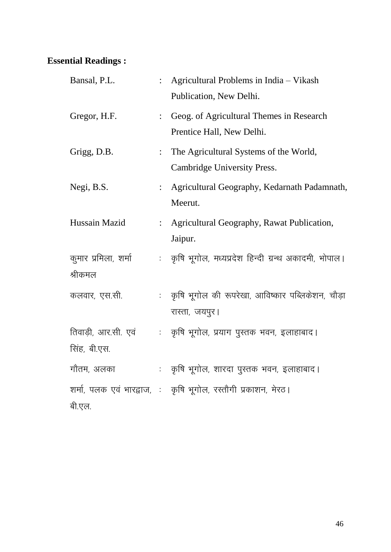| Bansal, P.L.                        |                | Agricultural Problems in India - Vikash<br>Publication, New Delhi.    |
|-------------------------------------|----------------|-----------------------------------------------------------------------|
| Gregor, H.F.                        | $\ddot{\cdot}$ | Geog. of Agricultural Themes in Research<br>Prentice Hall, New Delhi. |
| Grigg, D.B.                         | $\ddot{\cdot}$ | The Agricultural Systems of the World,<br>Cambridge University Press. |
| Negi, B.S.                          | $\ddot{\cdot}$ | Agricultural Geography, Kedarnath Padamnath,<br>Meerut.               |
| Hussain Mazid                       |                | Agricultural Geography, Rawat Publication,<br>Jaipur.                 |
| कुमार प्रमिला, शर्मा<br>श्रीकमल     |                | : कृषि भूगोल, मध्यप्रदेश हिन्दी ग्रन्थ अकादमी, भोपाल।                 |
| कलवार, एस.सी.                       |                | : कृषि भूगोल की रूपरेखा, आविष्कार पब्लिकेशन, चौड़ा<br>रास्ता, जयपुर।  |
| तिवाड़ी, आर.सी. एवं<br>सिंह, बी.एस. |                | : कृषि भूगोल, प्रयाग पुस्तक भवन, इलाहाबाद।                            |
| गौतम, अलका                          |                | : कृषि भूगोल, शारदा पुस्तक भवन, इलाहाबाद।                             |
| बी.एल.                              |                | शर्मा, पलक एवं भारद्वाज, : कृषि भूगोल, रस्तौगी प्रकाशन, मेरठ।         |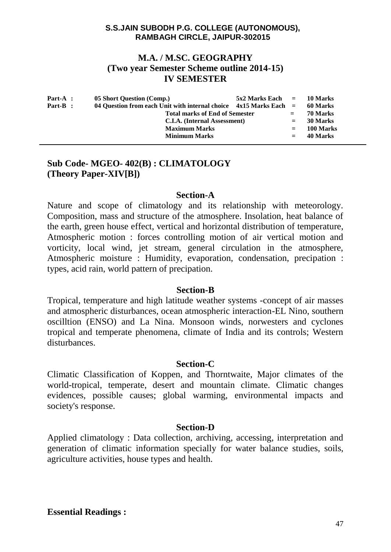# **M.A. / M.SC. GEOGRAPHY (Two year Semester Scheme outline 2014-15) IV SEMESTER**

| Part-A :   | 05 Short Question (Comp.)                                           | $5x2$ Marks Each $=$ |          | 10 Marks  |
|------------|---------------------------------------------------------------------|----------------------|----------|-----------|
| $Part-B$ : | 04 Question from each Unit with internal choice $4x15$ Marks Each = |                      | 60 Marks |           |
|            | <b>Total marks of End of Semester</b>                               | $=$                  | 70 Marks |           |
|            | C.I.A. (Internal Assessment)                                        | $=$                  | 30 Marks |           |
|            | <b>Maximum Marks</b>                                                |                      | $=$      | 100 Marks |
|            | <b>Minimum Marks</b>                                                |                      | $=$      | 40 Marks  |

# **Sub Code- MGEO- 402(B) : CLIMATOLOGY (Theory Paper-XIV[B])**

## **Section-A**

Nature and scope of climatology and its relationship with meteorology. Composition, mass and structure of the atmosphere. Insolation, heat balance of the earth, green house effect, vertical and horizontal distribution of temperature, Atmospheric motion : forces controlling motion of air vertical motion and vorticity, local wind, jet stream, general circulation in the atmosphere, Atmospheric moisture : Humidity, evaporation, condensation, precipation : types, acid rain, world pattern of precipation.

### **Section-B**

Tropical, temperature and high latitude weather systems -concept of air masses and atmospheric disturbances, ocean atmospheric interaction-EL Nino, southern oscilltion (ENSO) and La Nina. Monsoon winds, norwesters and cyclones tropical and temperate phenomena, climate of India and its controls; Western disturbances.

## **Section-C**

Climatic Classification of Koppen, and Thorntwaite, Major climates of the world-tropical, temperate, desert and mountain climate. Climatic changes evidences, possible causes; global warming, environmental impacts and society's response.

## **Section-D**

Applied climatology : Data collection, archiving, accessing, interpretation and generation of climatic information specially for water balance studies, soils, agriculture activities, house types and health.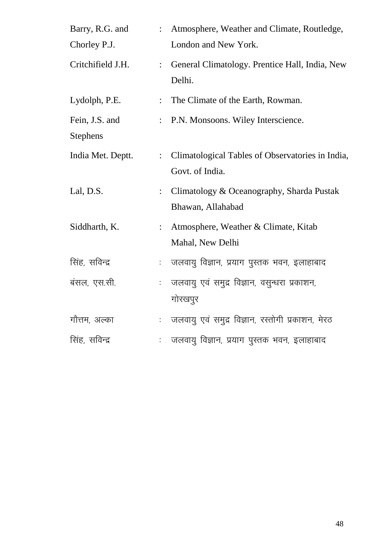| Barry, R.G. and   | $\mathbb{R}^{\mathbb{Z}}$   | Atmosphere, Weather and Climate, Routledge,              |
|-------------------|-----------------------------|----------------------------------------------------------|
| Chorley P.J.      |                             | London and New York.                                     |
| Critchifield J.H. | $\ddot{\cdot}$              | General Climatology. Prentice Hall, India, New<br>Delhi. |
| Lydolph, P.E.     | $\ddot{\cdot}$              | The Climate of the Earth, Rowman.                        |
| Fein, J.S. and    | $\ddot{\cdot}$              | P.N. Monsoons. Wiley Interscience.                       |
| <b>Stephens</b>   |                             |                                                          |
| India Met. Deptt. | $\mathbb{R}^{\mathbb{Z}}$   | Climatological Tables of Observatories in India,         |
|                   |                             | Govt. of India.                                          |
| Lal, D.S.         | $\ddot{\cdot}$              | Climatology & Oceanography, Sharda Pustak                |
|                   |                             | Bhawan, Allahabad                                        |
| Siddharth, K.     | $\mathbb{R}^{\mathbb{Z}}$   | Atmosphere, Weather & Climate, Kitab                     |
|                   |                             | Mahal, New Delhi                                         |
| सिंह, सविन्द्र    | ÷.                          | जलवायु विज्ञान, प्रयाग पुस्तक भवन, इलाहाबाद              |
| बंसल, एस.सी.      | ÷.                          | जलवायु एवं समुद्र विज्ञान, वसुन्धरा प्रकाशन,             |
|                   |                             | गोरखपुर                                                  |
| गौत्तम, अल्का     | $\mathcal{L}_{\mathcal{A}}$ | जलवायु एवं समुद्र विज्ञान, रस्तोगी प्रकाशन, मेरठ         |
| सिंह, सविन्द्र    |                             | जलवायु विज्ञान, प्रयाग पुस्तक भवन, इलाहाबाद              |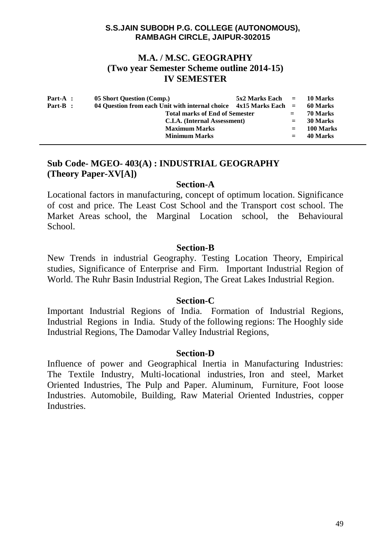# **M.A. / M.SC. GEOGRAPHY (Two year Semester Scheme outline 2014-15) IV SEMESTER**

| $Part-A$ : | 05 Short Question (Comp.)                                             | $5x2$ Marks Each $=$ |          | 10 Marks  |
|------------|-----------------------------------------------------------------------|----------------------|----------|-----------|
| Part-B :   | 04 Ouestion from each Unit with internal choice $4x15$ Marks Each $=$ |                      |          | 60 Marks  |
|            | <b>Total marks of End of Semester</b>                                 |                      | 70 Marks |           |
|            | C.I.A. (Internal Assessment)                                          |                      | $=$      | 30 Marks  |
|            | <b>Maximum Marks</b>                                                  |                      | $=$      | 100 Marks |
|            | <b>Minimum Marks</b>                                                  |                      | $=$      | 40 Marks  |

# **Sub Code- MGEO- 403(A) : INDUSTRIAL GEOGRAPHY (Theory Paper-XV[A])**

## **Section-A**

Locational factors in manufacturing, concept of optimum location. Significance of cost and price. The Least Cost School and the Transport cost school. The Market Areas school, the Marginal Location school, the Behavioural School.

## **Section-B**

New Trends in industrial Geography. Testing Location Theory, Empirical studies, Significance of Enterprise and Firm. Important Industrial Region of World. The Ruhr Basin Industrial Region, The Great Lakes Industrial Region.

### **Section-C**

Important Industrial Regions of India. Formation of Industrial Regions, Industrial Regions in India. Study of the following regions: The Hooghly side Industrial Regions, The Damodar Valley Industrial Regions,

## **Section-D**

Influence of power and Geographical Inertia in Manufacturing Industries: The Textile Industry, Multi-locational industries, Iron and steel, Market Oriented Industries, The Pulp and Paper. Aluminum, Furniture, Foot loose Industries. Automobile, Building, Raw Material Oriented Industries, copper Industries.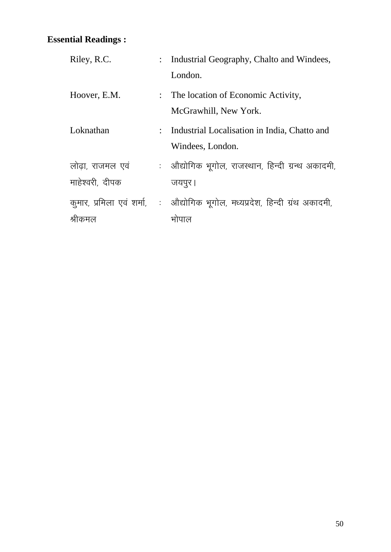| Riley, R.C.     | : Industrial Geography, Chalto and Windees,                                  |
|-----------------|------------------------------------------------------------------------------|
|                 | London.                                                                      |
| Hoover, E.M.    | : The location of Economic Activity,                                         |
|                 | McGrawhill, New York.                                                        |
| Loknathan       | : Industrial Localisation in India, Chatto and                               |
|                 | Windees, London.                                                             |
| लोढा, राजमल एवं | : औद्योगिक भूगोल, राजस्थान, हिन्दी ग्रन्थ अकादमी,                            |
| माहेश्वरी, दीपक | जयपुर ।                                                                      |
|                 | कुमार, प्रमिला एवं शर्मा, : औद्योगिक भूगोल, मध्यप्रदेश, हिन्दी ग्रंथ अकादमी, |
| श्रीकमल         | भोपाल                                                                        |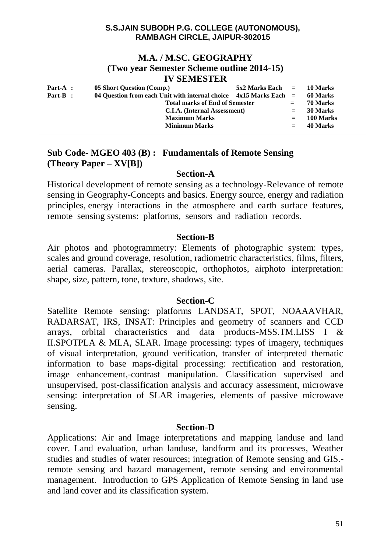## **M.A. / M.SC. GEOGRAPHY (Two year Semester Scheme outline 2014-15) IV SEMESTER**

| Part-A : | 05 Short Question (Comp.)<br>$5x2$ Marks Each $=$ 10 Marks            |  |     |           |
|----------|-----------------------------------------------------------------------|--|-----|-----------|
| Part-B : | 04 Question from each Unit with internal choice $4x15$ Marks Each $=$ |  |     | 60 Marks  |
|          | <b>Total marks of End of Semester</b>                                 |  | $=$ | 70 Marks  |
|          | C.I.A. (Internal Assessment)                                          |  | $=$ | 30 Marks  |
|          | <b>Maximum Marks</b>                                                  |  | $=$ | 100 Marks |
|          | <b>Minimum Marks</b>                                                  |  | $=$ | 40 Marks  |

# **Sub Code- MGEO 403 (B) : Fundamentals of Remote Sensing (Theory Paper – XV[B])**

## **Section-A**

Historical development of remote sensing as a technology-Relevance of remote sensing in Geography-Concepts and basics. Energy source, energy and radiation principles, energy interactions in the atmosphere and earth surface features, remote sensing systems: platforms, sensors and radiation records.

## **Section-B**

Air photos and photogrammetry: Elements of photographic system: types, scales and ground coverage, resolution, radiometric characteristics, films, filters, aerial cameras. Parallax, stereoscopic, orthophotos, airphoto interpretation: shape, size, pattern, tone, texture, shadows, site.

## **Section-C**

Satellite Remote sensing: platforms LANDSAT, SPOT, NOAAAVHAR, RADARSAT, IRS, INSAT: Principles and geometry of scanners and CCD arrays, orbital characteristics and data products-MSS.TM.LISS I & II.SPOTPLA & MLA, SLAR. Image processing: types of imagery, techniques of visual interpretation, ground verification, transfer of interpreted thematic information to base maps-digital processing: rectification and restoration, image enhancement,-contrast manipulation. Classification supervised and unsupervised, post-classification analysis and accuracy assessment, microwave sensing: interpretation of SLAR imageries, elements of passive microwave sensing.

# **Section-D**

Applications: Air and Image interpretations and mapping landuse and land cover. Land evaluation, urban landuse, landform and its processes, Weather studies and studies of water resources; integration of Remote sensing and GIS. remote sensing and hazard management, remote sensing and environmental management. Introduction to GPS Application of Remote Sensing in land use and land cover and its classification system.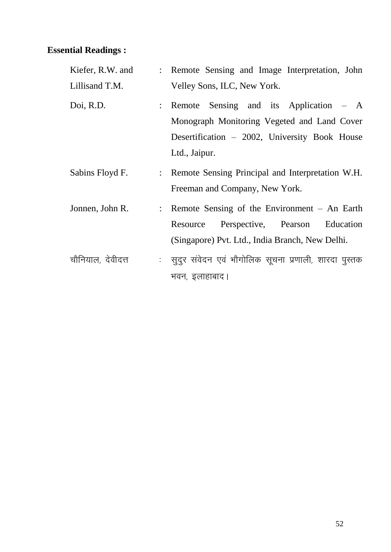| Kiefer, R.W. and  | : Remote Sensing and Image Interpretation, John                                                                                                           |
|-------------------|-----------------------------------------------------------------------------------------------------------------------------------------------------------|
| Lillisand T.M.    | Velley Sons, ILC, New York.                                                                                                                               |
| Doi, R.D.         | : Remote Sensing and its Application – A<br>Monograph Monitoring Vegeted and Land Cover<br>Desertification - 2002, University Book House<br>Ltd., Jaipur. |
| Sabins Floyd F.   | : Remote Sensing Principal and Interpretation W.H.<br>Freeman and Company, New York.                                                                      |
| Jonnen, John R.   | : Remote Sensing of the Environment - An Earth<br>Resource Perspective, Pearson Education<br>(Singapore) Pvt. Ltd., India Branch, New Delhi.              |
| चौनियाल, देवीदत्त | :  सूदुर संवेदन एवं भौगोलिक सूचना प्रणाली, शारदा पुस्तक<br>भवन, इलाहाबाद।                                                                                 |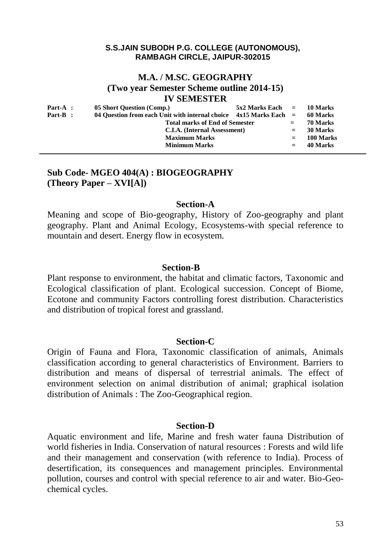# **M.A. / M.SC. GEOGRAPHY (Two year Semester Scheme outline 2014-15) IV SEMESTER**

| $Part-A$ : | 05 Short Question (Comp.)                                             |  | $5x2$ Marks Each $=$ 10 Marks |           |
|------------|-----------------------------------------------------------------------|--|-------------------------------|-----------|
| Part-B :   | 04 Ouestion from each Unit with internal choice $4x15$ Marks Each $=$ |  | 60 Marks                      |           |
|            | <b>Total marks of End of Semester</b>                                 |  | $=$                           | 70 Marks  |
|            | C.I.A. (Internal Assessment)                                          |  | $=$                           | 30 Marks  |
|            | <b>Maximum Marks</b>                                                  |  | $=$                           | 100 Marks |
|            | <b>Minimum Marks</b>                                                  |  | $=$                           | 40 Marks  |

## **Sub Code- MGEO 404(A) : BIOGEOGRAPHY (Theory Paper – XVI[A])**

## **Section-A**

Meaning and scope of Bio-geography, History of Zoo-geography and plant geography. Plant and Animal Ecology, Ecosystems-with special reference to mountain and desert. Energy flow in ecosystem.

#### **Section-B**

Plant response to environment, the habitat and climatic factors, Taxonomic and Ecological classification of plant. Ecological succession. Concept of Biome, Ecotone and community Factors controlling forest distribution. Characteristics and distribution of tropical forest and grassland.

#### **Section-C**

Origin of Fauna and Flora, Taxonomic classification of animals, Animals classification according to general characteristics of Environment. Barriers to distribution and means of dispersal of terrestrial animals. The effect of environment selection on animal distribution of animal; graphical isolation distribution of Animals : The Zoo-Geographical region.

#### **Section-D**

Aquatic environment and life, Marine and fresh water fauna Distribution of world fisheries in India. Conservation of natural resources : Forests and wild life and their management and conservation (with reference to India). Process of desertification, its consequences and management principles. Environmental pollution, courses and control with special reference to air and water. Bio-Geochemical cycles.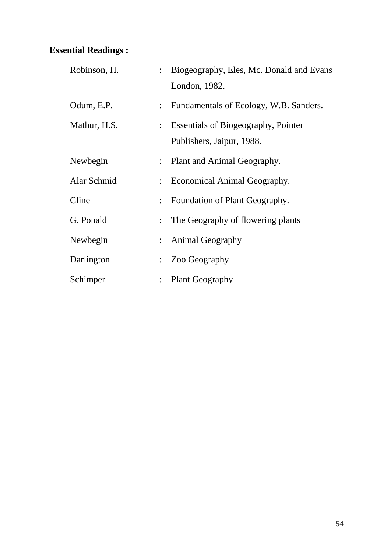| Robinson, H. | $\ddot{\cdot}$ | Biogeography, Eles, Mc. Donald and Evans   |
|--------------|----------------|--------------------------------------------|
|              |                | London, 1982.                              |
| Odum, E.P.   | $\ddot{\cdot}$ | Fundamentals of Ecology, W.B. Sanders.     |
| Mathur, H.S. | $\ddot{\cdot}$ | <b>Essentials of Biogeography, Pointer</b> |
|              |                | Publishers, Jaipur, 1988.                  |
| Newbegin     | $\ddot{\cdot}$ | Plant and Animal Geography.                |
| Alar Schmid  | $\ddot{\cdot}$ | Economical Animal Geography.               |
| Cline        | $\ddot{\cdot}$ | Foundation of Plant Geography.             |
| G. Ponald    | $\ddot{\cdot}$ | The Geography of flowering plants          |
| Newbegin     | $\ddot{\cdot}$ | <b>Animal Geography</b>                    |
| Darlington   |                | Zoo Geography                              |
| Schimper     | $\vdots$       | <b>Plant Geography</b>                     |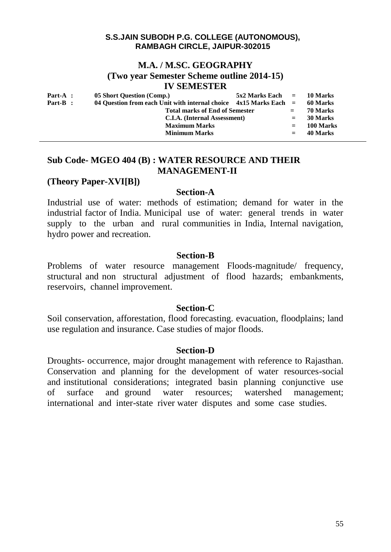# **M.A. / M.SC. GEOGRAPHY**

**(Two year Semester Scheme outline 2014-15)**

## **IV SEMESTER**

| Part-A : | 05 Short Question (Comp.)                                           | $5x2$ Marks Each $=$ |     | 10 Marks  |
|----------|---------------------------------------------------------------------|----------------------|-----|-----------|
| Part-B : | 04 Question from each Unit with internal choice $4x15$ Marks Each = |                      |     | 60 Marks  |
|          | <b>Total marks of End of Semester</b>                               |                      | $=$ | 70 Marks  |
|          | C.I.A. (Internal Assessment)                                        |                      | $=$ | 30 Marks  |
|          | <b>Maximum Marks</b>                                                |                      | $=$ | 100 Marks |
|          | <b>Minimum Marks</b>                                                |                      | $=$ | 40 Marks  |
|          |                                                                     |                      |     |           |

# **Sub Code- MGEO 404 (B) : WATER RESOURCE AND THEIR MANAGEMENT-II**

## **(Theory Paper-XVI[B])**

### **Section-A**

Industrial use of water: methods of estimation; demand for water in the industrial factor of India. Municipal use of water: general trends in water supply to the urban and rural communities in India, Internal navigation, hydro power and recreation.

## **Section-B**

Problems of water resource management Floods-magnitude/ frequency, structural and non structural adjustment of flood hazards; embankments, reservoirs, channel improvement.

## **Section-C**

Soil conservation, afforestation, flood forecasting. evacuation, floodplains; land use regulation and insurance. Case studies of major floods.

## **Section-D**

Droughts- occurrence, major drought management with reference to Rajasthan. Conservation and planning for the development of water resources-social and institutional considerations; integrated basin planning conjunctive use of surface and ground water resources; watershed management; international and inter-state river water disputes and some case studies.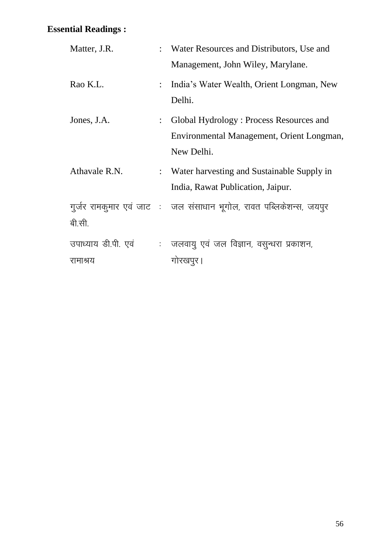| Matter, J.R.        |                           | : Water Resources and Distributors, Use and                         |
|---------------------|---------------------------|---------------------------------------------------------------------|
|                     |                           | Management, John Wiley, Marylane.                                   |
| Rao K.L.            |                           | : India's Water Wealth, Orient Longman, New<br>Delhi.               |
| Jones, J.A.         | $\mathbb{R}^{\mathbb{Z}}$ | Global Hydrology: Process Resources and                             |
|                     |                           | Environmental Management, Orient Longman,                           |
|                     |                           | New Delhi.                                                          |
| Athavale R.N.       |                           | : Water harvesting and Sustainable Supply in                        |
|                     |                           | India, Rawat Publication, Jaipur.                                   |
|                     |                           | गूर्जर रामकूमार एवं जाट : जल संसाधान भूगोल, रावत पब्लिकेशन्स, जयपुर |
| बी.सी.              |                           |                                                                     |
| उपाध्याय डी.पी. एवं |                           | : जलवायु एवं जल विज्ञान, वसुन्धरा प्रकाशन,                          |
| रामाश्रय            |                           | गोरखपुर ।                                                           |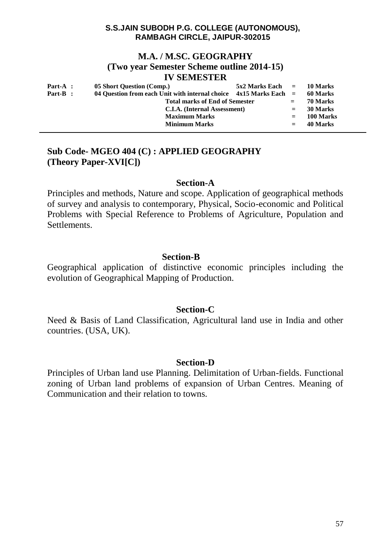## **M.A. / M.SC. GEOGRAPHY (Two year Semester Scheme outline 2014-15) IV SEMESTER**

| Part-A : | 05 Short Question (Comp.)                                           |  | $5x2$ Marks Each $=$ 10 Marks |           |
|----------|---------------------------------------------------------------------|--|-------------------------------|-----------|
| Part-B : | 04 Question from each Unit with internal choice $4x15$ Marks Each = |  |                               | 60 Marks  |
|          | <b>Total marks of End of Semester</b>                               |  | $=$                           | 70 Marks  |
|          | C.I.A. (Internal Assessment)                                        |  | $=$                           | 30 Marks  |
|          | <b>Maximum Marks</b>                                                |  |                               | 100 Marks |
|          | <b>Minimum Marks</b>                                                |  |                               | 40 Marks  |

# **Sub Code- MGEO 404 (C) : APPLIED GEOGRAPHY (Theory Paper-XVI[C])**

#### **Section-A**

Principles and methods, Nature and scope. Application of geographical methods of survey and analysis to contemporary, Physical, Socio-economic and Political Problems with Special Reference to Problems of Agriculture, Population and Settlements.

## **Section-B**

Geographical application of distinctive economic principles including the evolution of Geographical Mapping of Production.

### **Section-C**

Need & Basis of Land Classification, Agricultural land use in India and other countries. (USA, UK).

## **Section-D**

Principles of Urban land use Planning. Delimitation of Urban-fields. Functional zoning of Urban land problems of expansion of Urban Centres. Meaning of Communication and their relation to towns.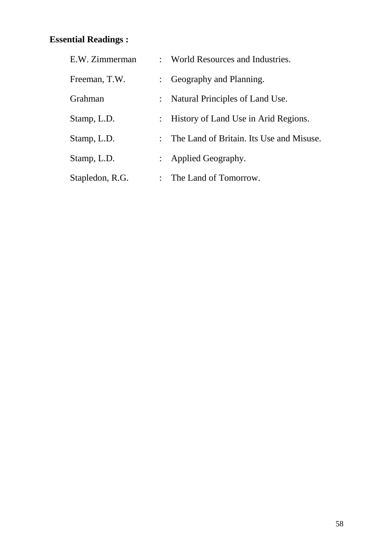| E.W. Zimmerman  | : World Resources and Industries.                                |
|-----------------|------------------------------------------------------------------|
| Freeman, T.W.   | Geography and Planning.<br>$\mathbb{R}^{\mathbb{Z}}$             |
| Grahman         | Natural Principles of Land Use.<br>$\ddot{\cdot}$                |
| Stamp, L.D.     | : History of Land Use in Arid Regions.                           |
| Stamp, L.D.     | The Land of Britain. Its Use and Misuse.<br>$\ddot{\phantom{0}}$ |
| Stamp, L.D.     | : Applied Geography.                                             |
| Stapledon, R.G. | The Land of Tomorrow.<br>$\ddot{\phantom{0}}$                    |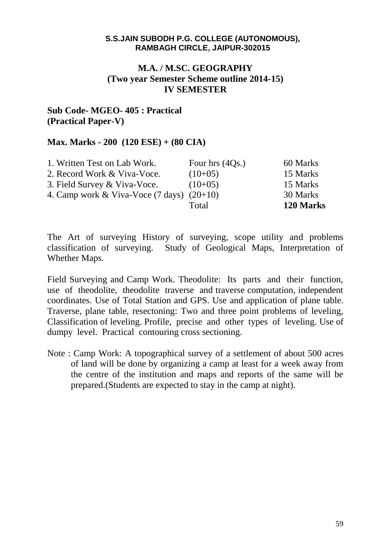# **M.A. / M.SC. GEOGRAPHY (Two year Semester Scheme outline 2014-15) IV SEMESTER**

# **Sub Code- MGEO- 405 : Practical (Practical Paper-V)**

## **Max. Marks - 200 (120 ESE) + (80 CIA)**

|                                                       | Total             | 120 Marks |
|-------------------------------------------------------|-------------------|-----------|
| 4. Camp work & Viva-Voce $(7 \text{ days})$ $(20+10)$ |                   | 30 Marks  |
| 3. Field Survey & Viva-Voce.                          | $(10+05)$         | 15 Marks  |
| 2. Record Work & Viva-Voce.                           | $(10+05)$         | 15 Marks  |
| 1. Written Test on Lab Work.                          | Four hrs $(4Qs.)$ | 60 Marks  |

The Art of surveying History of surveying, scope utility and problems classification of surveying. Study of Geological Maps, Interpretation of Whether Maps.

Field Surveying and Camp Work. Theodolite: Its parts and their function, use of theodolite, theodolite traverse and traverse computation, independent coordinates. Use of Total Station and GPS. Use and application of plane table. Traverse, plane table, resectoning: Two and three point problems of leveling, Classification of leveling. Profile, precise and other types of leveling. Use of dumpy level. Practical contouring cross sectioning.

Note : Camp Work: A topographical survey of a settlement of about 500 acres of land will be done by organizing a camp at least for a week away from the centre of the institution and maps and reports of the same will be prepared.(Students are expected to stay in the camp at night).